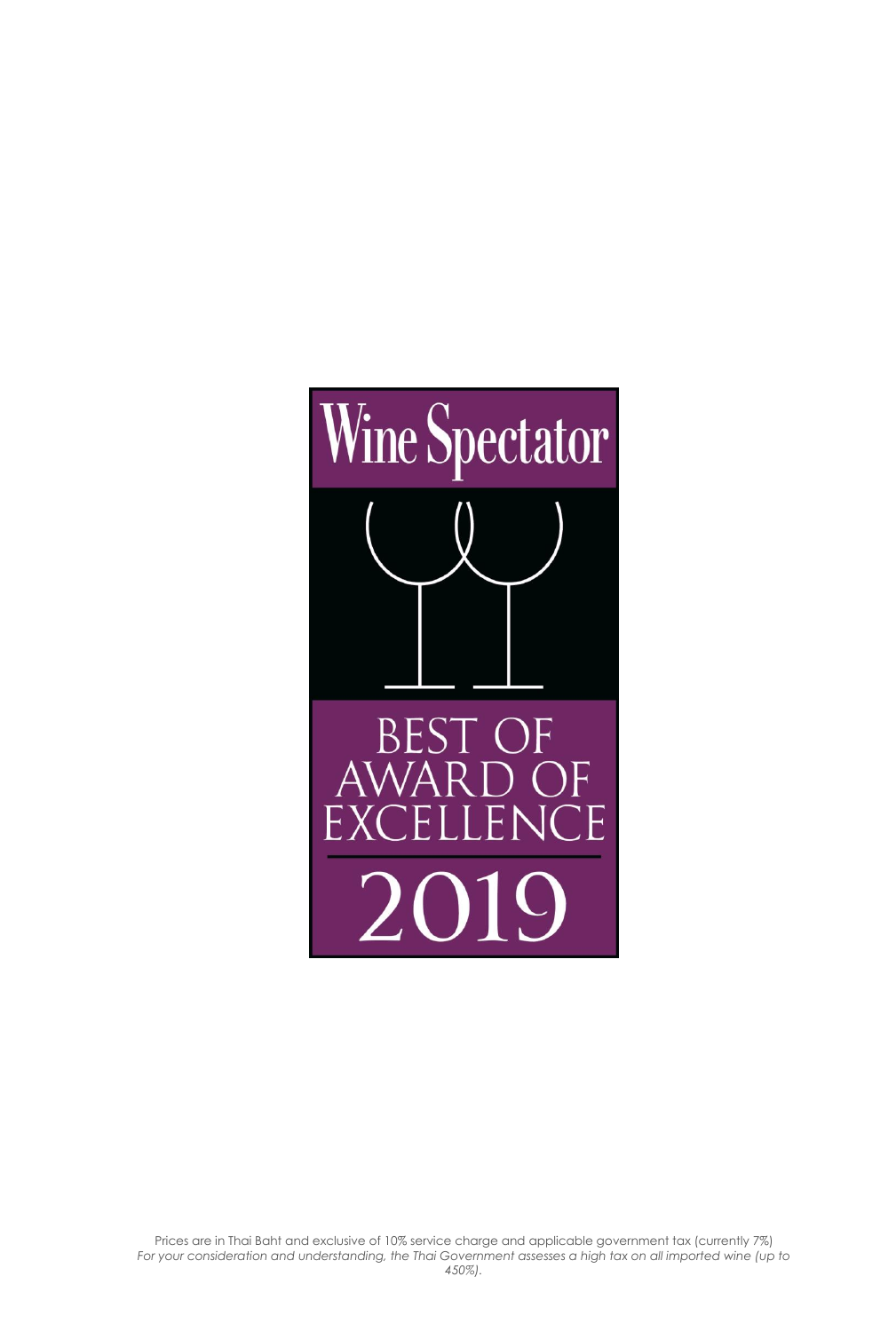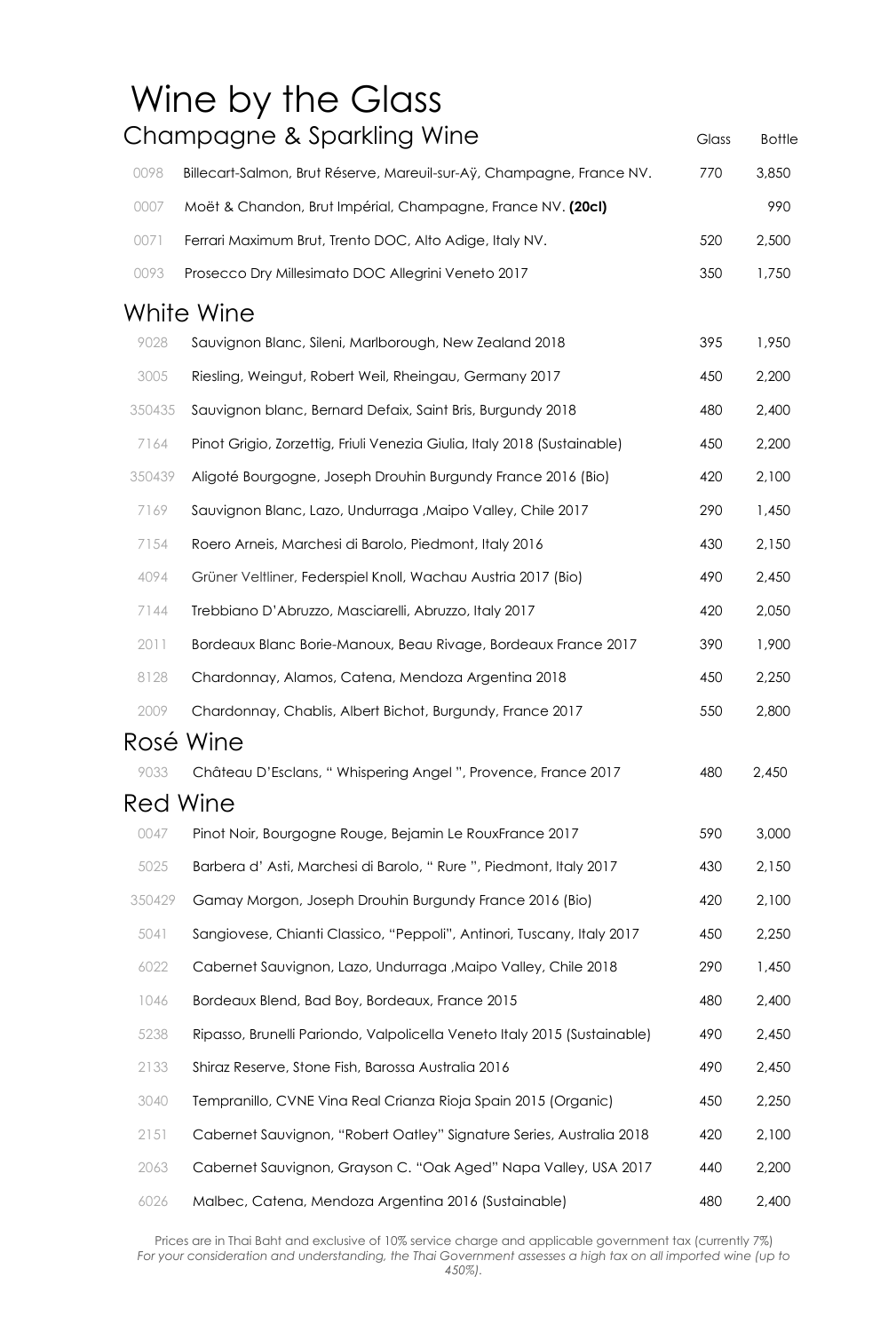|        | Wine by the Glass                                                        |       |               |
|--------|--------------------------------------------------------------------------|-------|---------------|
|        | Champagne & Sparkling Wine                                               | Glass | <b>Bottle</b> |
| 0098   | Billecart-Salmon, Brut Réserve, Mareuil-sur-Aÿ, Champagne, France NV.    | 770   | 3,850         |
| 0007   | Moët & Chandon, Brut Impérial, Champagne, France NV. (20cl)              |       | 990           |
| 0071   | Ferrari Maximum Brut, Trento DOC, Alto Adige, Italy NV.                  | 520   | 2,500         |
| 0093   | Prosecco Dry Millesimato DOC Allegrini Veneto 2017                       | 350   | 1,750         |
|        | White Wine                                                               |       |               |
| 9028   | Sauvignon Blanc, Sileni, Marlborough, New Zealand 2018                   | 395   | 1,950         |
| 3005   | Riesling, Weingut, Robert Weil, Rheingau, Germany 2017                   | 450   | 2,200         |
| 350435 | Sauvignon blanc, Bernard Defaix, Saint Bris, Burgundy 2018               | 480   | 2,400         |
| 7164   | Pinot Grigio, Zorzettig, Friuli Venezia Giulia, Italy 2018 (Sustainable) | 450   | 2,200         |
| 350439 | Aligoté Bourgogne, Joseph Drouhin Burgundy France 2016 (Bio)             | 420   | 2,100         |
| 7169   | Sauvignon Blanc, Lazo, Undurraga, Maipo Valley, Chile 2017               | 290   | 1,450         |
| 7154   | Roero Arneis, Marchesi di Barolo, Piedmont, Italy 2016                   | 430   | 2,150         |
| 4094   | Grüner Veltliner, Federspiel Knoll, Wachau Austria 2017 (Bio)            | 490   | 2,450         |
| 7144   | Trebbiano D'Abruzzo, Masciarelli, Abruzzo, Italy 2017                    | 420   | 2,050         |
| 2011   | Bordeaux Blanc Borie-Manoux, Beau Rivage, Bordeaux France 2017           | 390   | 1,900         |
| 8128   | Chardonnay, Alamos, Catena, Mendoza Argentina 2018                       | 450   | 2,250         |
| 2009   | Chardonnay, Chablis, Albert Bichot, Burgundy, France 2017                | 550   | 2,800         |
|        | Rosé Wine                                                                |       |               |
| 9033   | Château D'Esclans, "Whispering Angel", Provence, France 2017             | 480   | 2,450         |
|        | Red Wine                                                                 |       |               |
| 0047   | Pinot Noir, Bourgogne Rouge, Bejamin Le RouxFrance 2017                  | 590   | 3,000         |
| 5025   | Barbera d'Asti, Marchesi di Barolo, "Rure ", Piedmont, Italy 2017        | 430   | 2,150         |
| 350429 | Gamay Morgon, Joseph Drouhin Burgundy France 2016 (Bio)                  | 420   | 2,100         |
| 5041   | Sangiovese, Chianti Classico, "Peppoli", Antinori, Tuscany, Italy 2017   | 450   | 2,250         |
| 6022   | Cabernet Sauvignon, Lazo, Undurraga , Maipo Valley, Chile 2018           | 290   | 1,450         |
| 1046   | Bordeaux Blend, Bad Boy, Bordeaux, France 2015                           | 480   | 2,400         |
| 5238   | Ripasso, Brunelli Pariondo, Valpolicella Veneto Italy 2015 (Sustainable) | 490   | 2,450         |
| 2133   | Shiraz Reserve, Stone Fish, Barossa Australia 2016                       | 490   | 2,450         |
| 3040   | Tempranillo, CVNE Vina Real Crianza Rioja Spain 2015 (Organic)           | 450   | 2,250         |
| 2151   | Cabernet Sauvignon, "Robert Oatley" Signature Series, Australia 2018     | 420   | 2,100         |
| 2063   | Cabernet Sauvignon, Grayson C. "Oak Aged" Napa Valley, USA 2017          | 440   | 2,200         |
| 6026   | Malbec, Catena, Mendoza Argentina 2016 (Sustainable)                     | 480   | 2,400         |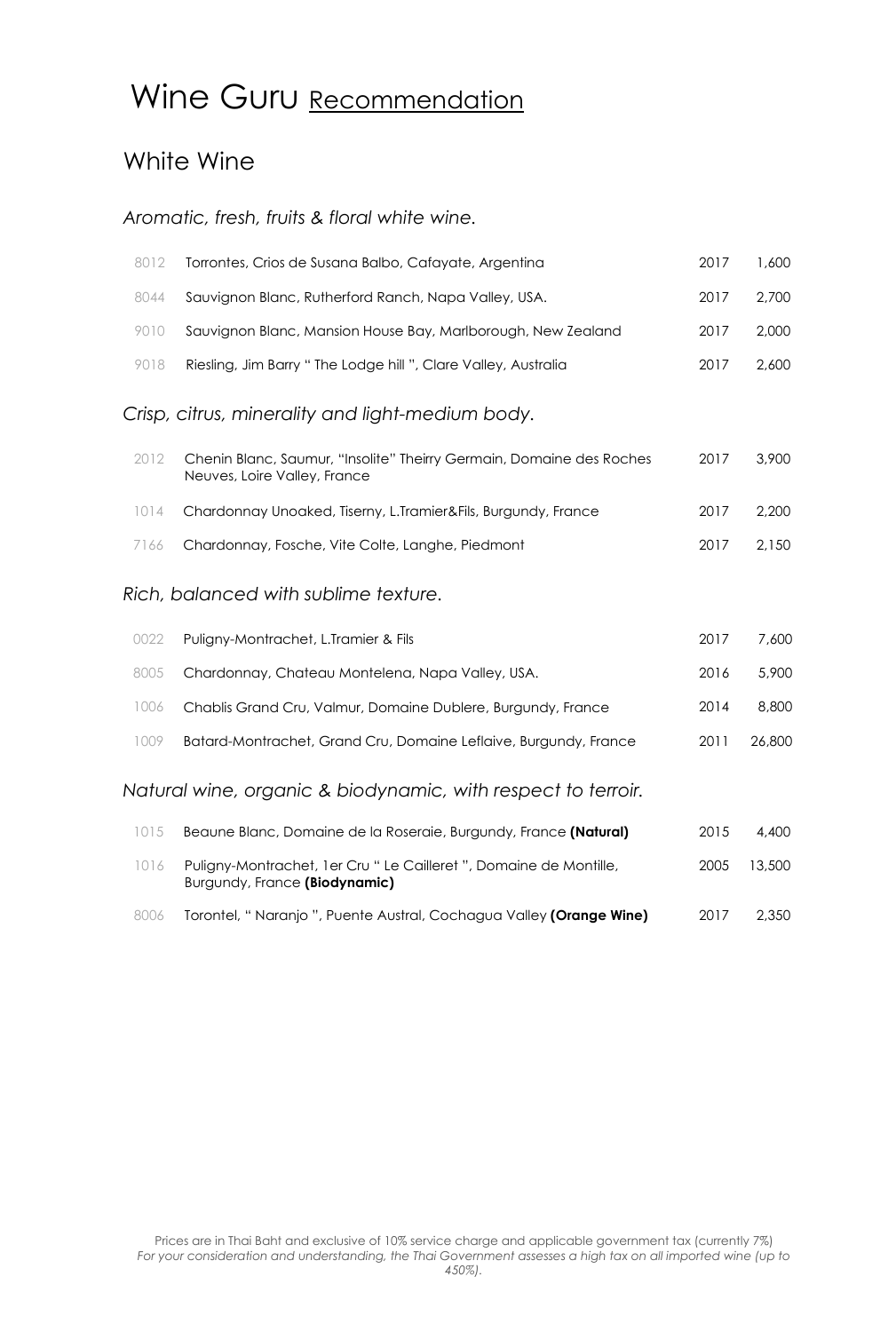# Wine Guru Recommendation

### White Wine

#### *Aromatic, fresh, fruits & floral white wine.*

| 8012 | Torrontes, Crios de Susana Balbo, Cafayate, Argentina                                                | 2017 | 1,600 |
|------|------------------------------------------------------------------------------------------------------|------|-------|
| 8044 | Sauvignon Blanc, Rutherford Ranch, Napa Valley, USA.                                                 | 2017 | 2,700 |
| 9010 | Sauvignon Blanc, Mansion House Bay, Marlborough, New Zealand                                         | 2017 | 2,000 |
| 9018 | Riesling, Jim Barry " The Lodge hill ", Clare Valley, Australia                                      | 2017 | 2.600 |
|      | Crisp, citrus, minerality and light-medium body.                                                     |      |       |
| 2012 | Chenin Blanc, Saumur, "Insolite" Theirry Germain, Domaine des Roches<br>Neuves, Loire Valley, France | 2017 | 3,900 |
| 1014 | Chardonnay Unoaked, Tiserny, L.Tramier&Fils, Burgundy, France                                        | 2017 | 2,200 |
| 7166 | Chardonnay, Fosche, Vite Colte, Langhe, Piedmont                                                     | 2017 | 2,150 |
|      | Rich, balanced with sublime texture.                                                                 |      |       |
|      |                                                                                                      |      |       |

| 0022 | Puliany-Montrachet, L.Tramier & Fils                             | 2017 | 7,600  |
|------|------------------------------------------------------------------|------|--------|
|      | 8005 Chardonnay, Chateau Montelena, Napa Valley, USA.            | 2016 | 5,900  |
| 1006 | Chablis Grand Cru, Valmur, Domaine Dublere, Burgundy, France     | 2014 | 8,800  |
| 1009 | Batard-Montrachet, Grand Cru, Domaine Leflaive, Burgundy, France | 2011 | 26,800 |
|      |                                                                  |      |        |

*Natural wine, organic & biodynamic, with respect to terroir.*

| 1015 | Beaune Blanc, Domaine de la Roseraie, Burgundy, France (Natural)                                    | 2015 | 4,400  |
|------|-----------------------------------------------------------------------------------------------------|------|--------|
| 1016 | Puligny-Montrachet, 1er Cru " Le Cailleret ", Domaine de Montille,<br>Burgundy, France (Biodynamic) | 2005 | 13.500 |
| 8006 | Torontel, "Naranjo ", Puente Austral, Cochagua Valley (Orange Wine)                                 | 2017 | 2.350  |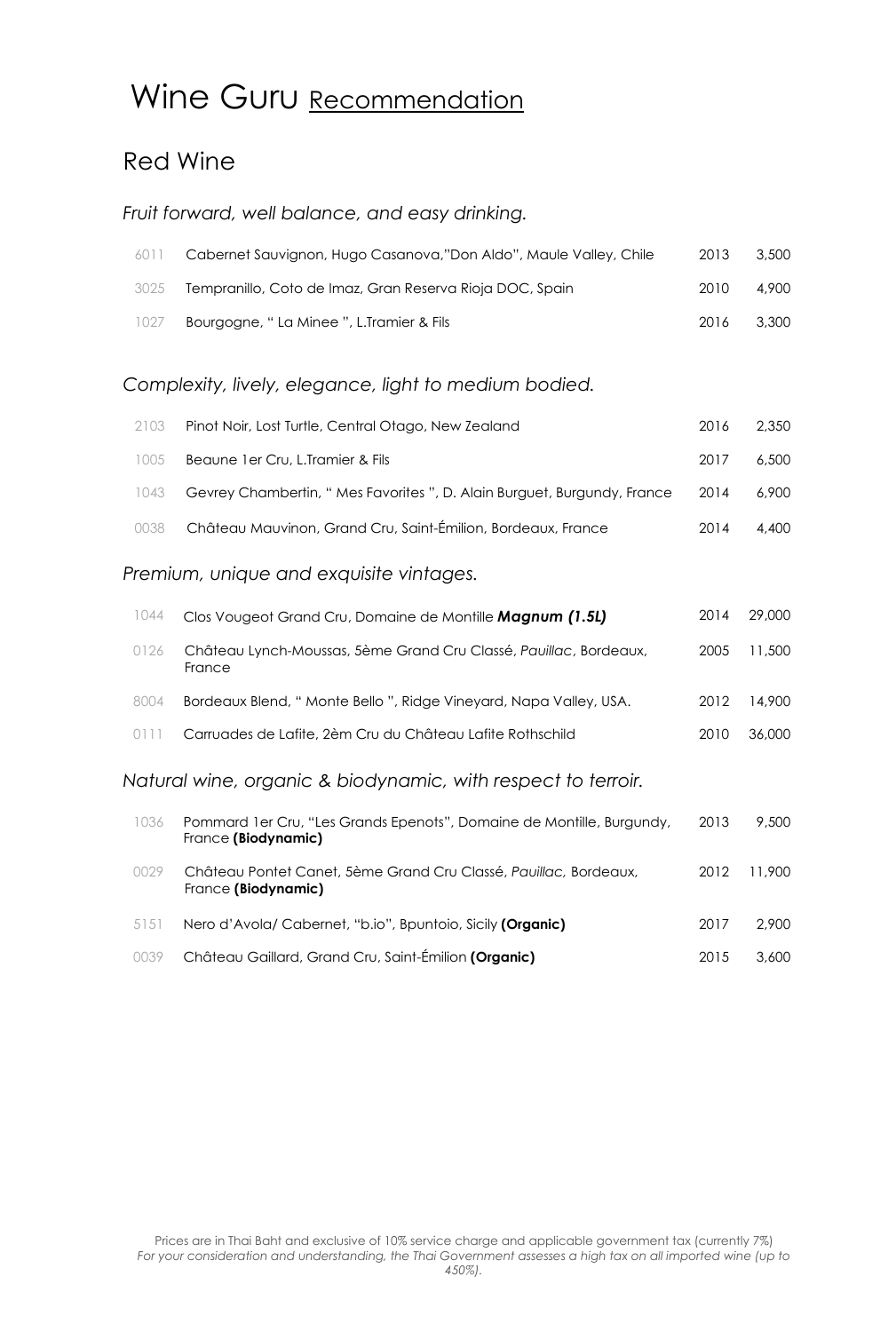### Wine Guru Recommendation

### Red Wine

#### *Fruit forward, well balance, and easy drinking.*

| 6011 | Cabernet Sauvignon, Hugo Casanova,"Don Aldo", Maule Valley, Chile | 2013 | 3.500 |
|------|-------------------------------------------------------------------|------|-------|
| 3025 | Tempranillo, Coto de Imaz, Gran Reserva Rioja DOC, Spain          | 2010 | 4.900 |
| 1027 | Bourgogne, " La Minee ", L.Tramier & Fils                         | 2016 | 3.300 |

#### *Complexity, lively, elegance, light to medium bodied.*

| 2103 | Pinot Noir, Lost Turtle, Central Otago, New Zealand                           | 2016 | 2.350 |
|------|-------------------------------------------------------------------------------|------|-------|
| 1005 | Beaune 1 er Cru, L.Tramier & Fils                                             | 2017 | 6,500 |
| 1043 | Gevrey Chambertin, " Mes Favorites ", D. Alain Burguet, Burgundy, France 2014 |      | 6,900 |
| 0038 | Château Mauvinon, Grand Cru, Saint-Émilion, Bordeaux, France                  | 2014 | 4.400 |

#### *Premium, unique and exquisite vintages.*

| 1044 | Clos Vougeot Grand Cru, Domaine de Montille Magnum (1.5L)                   | 2014 | 29,000 |
|------|-----------------------------------------------------------------------------|------|--------|
| 0126 | Château Lynch-Moussas, 5ème Grand Cru Classé, Pauillac, Bordeaux,<br>France | 2005 | 11,500 |
| 8004 | Bordeaux Blend, " Monte Bello ", Ridge Vineyard, Napa Valley, USA.          | 2012 | 14,900 |
| 0111 | Carruades de Lafite, 2èm Cru du Château Lafite Rothschild                   | 2010 | 36,000 |
| .    |                                                                             |      |        |

#### *Natural wine, organic & biodynamic, with respect to terroir.*

| 1036 | Pommard 1 er Cru, "Les Grands Epenots", Domaine de Montille, Burgundy,<br>France (Biodynamic) | 2013 | 9,500  |
|------|-----------------------------------------------------------------------------------------------|------|--------|
| 0029 | Château Pontet Canet, 5ème Grand Cru Classé, Pauillac, Bordeaux,<br>France (Biodynamic)       | 2012 | 11.900 |
| 5151 | Nero d'Avola/Cabernet, "b.io", Bpuntoio, Sicily (Organic)                                     | 2017 | 2.900  |
| 0039 | Château Gaillard, Grand Cru, Saint-Émilion (Organic)                                          | 2015 | 3.600  |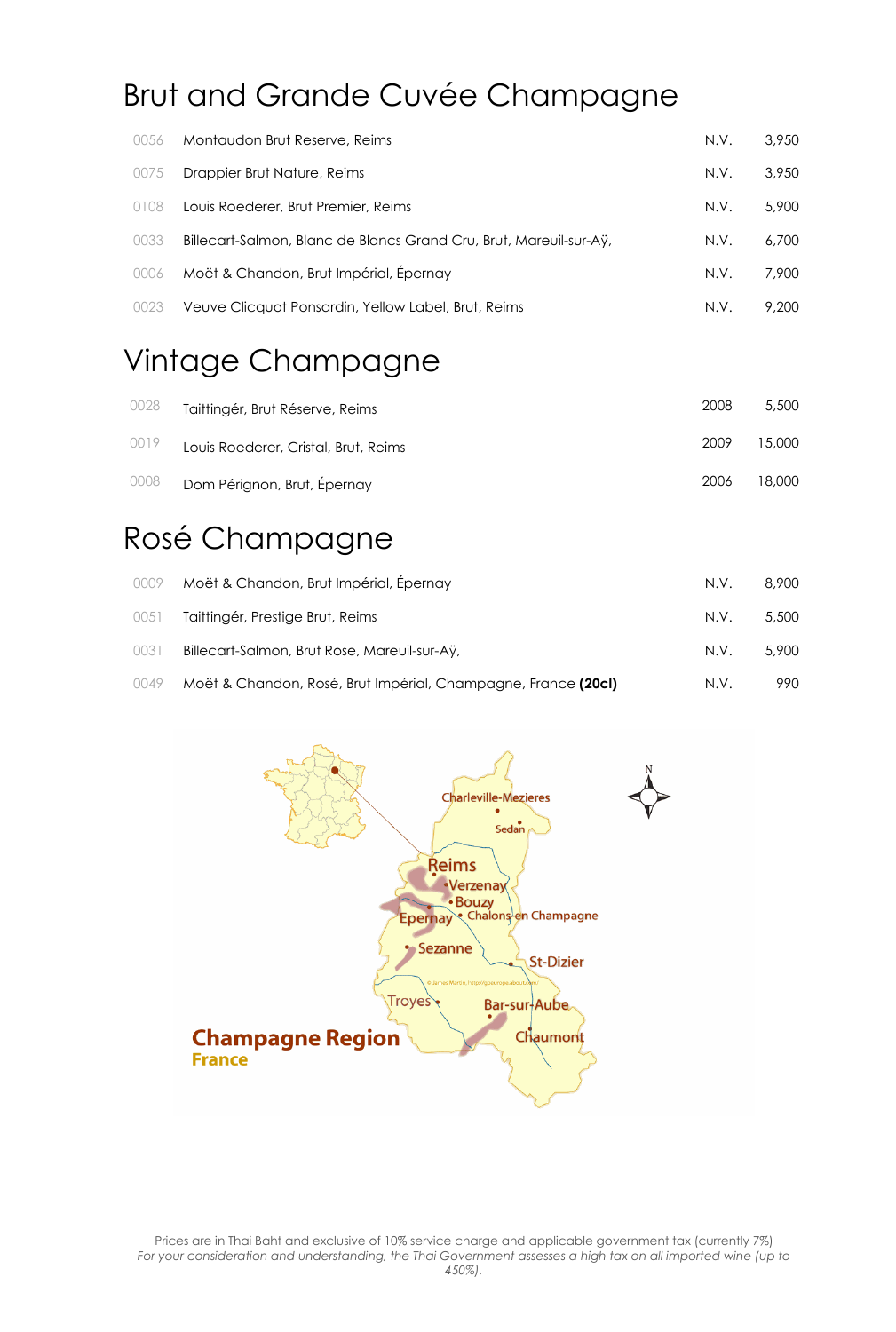# Brut and Grande Cuvée Champagne

| 0056 | Montaudon Brut Reserve, Reims                                      | N.V. | 3,950 |
|------|--------------------------------------------------------------------|------|-------|
| 0075 | Drappier Brut Nature, Reims                                        | N.V. | 3,950 |
| 0108 | Louis Roederer, Brut Premier, Reims                                | N.V. | 5,900 |
| 0033 | Billecart-Salmon, Blanc de Blancs Grand Cru, Brut, Mareuil-sur-Aÿ, | N.V. | 6,700 |
| 0006 | Moët & Chandon, Brut Impérial, Épernay                             | N.V. | 7,900 |
| 0023 | Veuve Clicquot Ponsardin, Yellow Label, Brut, Reims                | N.V. | 9.200 |

### Vintage Champagne

| 0028 | Taittingér, Brut Réserve, Reims      | 2008 | 5.500  |
|------|--------------------------------------|------|--------|
| 0019 | Louis Roederer, Cristal, Brut, Reims | 2009 | 15.000 |
| 0008 | Dom Pérignon, Brut, Épernay          | 2006 | 18.000 |

### Rosé Champagne

|      | 0009 Moët & Chandon, Brut Impérial, Épernay                   | N.V. | 8,900 |
|------|---------------------------------------------------------------|------|-------|
| 0051 | Taittingér, Prestige Brut, Reims                              | N.V. | 5,500 |
| 0031 | Billecart-Salmon, Brut Rose, Mareuil-sur-Ay,                  | N.V. | 5,900 |
| 0049 | Moët & Chandon, Rosé, Brut Impérial, Champagne, France (20cl) | N.V. | 990   |

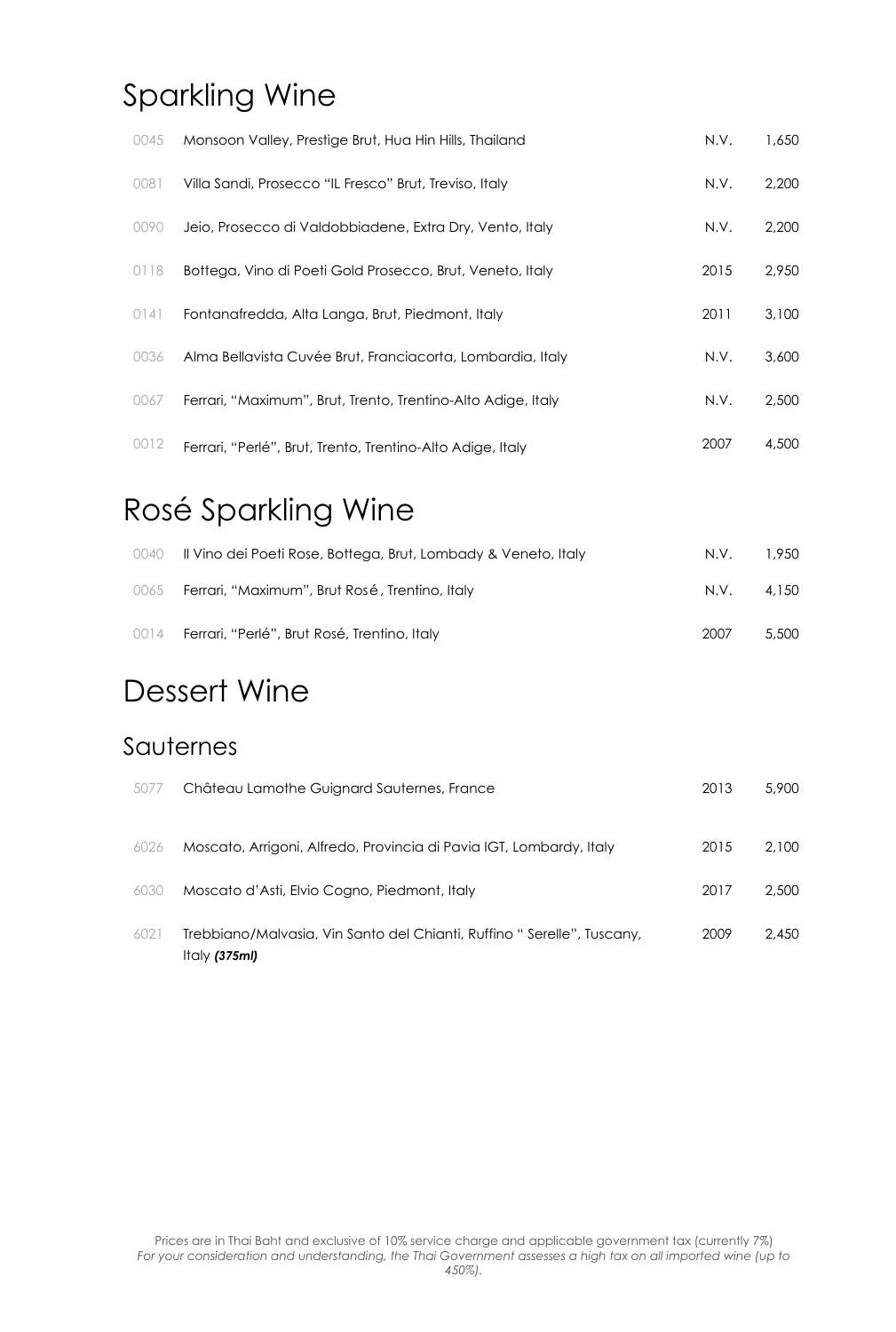### Sparkling Wine

| 0045 | Monsoon Valley, Prestige Brut, Hua Hin Hills, Thailand       | N.V. | 1,650 |
|------|--------------------------------------------------------------|------|-------|
| 0081 | Villa Sandi, Prosecco "IL Fresco" Brut, Treviso, Italy       | N.V. | 2,200 |
| 0090 | Jeio, Prosecco di Valdobbiadene, Extra Dry, Vento, Italy     | N.V. | 2,200 |
| 0118 | Bottega, Vino di Poeti Gold Prosecco, Brut, Veneto, Italy    | 2015 | 2,950 |
| 0141 | Fontanafredda, Alta Langa, Brut, Piedmont, Italy             | 2011 | 3,100 |
| 0036 | Alma Bellavista Cuvée Brut, Franciacorta, Lombardia, Italy   | N.V. | 3,600 |
| 0067 | Ferrari, "Maximum", Brut, Trento, Trentino-Alto Adige, Italy | N.V. | 2,500 |
| 0012 | Ferrari, "Perlé", Brut, Trento, Trentino-Alto Adige, Italy   | 2007 | 4,500 |

### Rosé Sparkling Wine

| 0040 | Il Vino dei Poeti Rose, Bottega, Brut, Lombady & Veneto, Italy | N.V. | 1,950 |
|------|----------------------------------------------------------------|------|-------|
| 0065 | Ferrari, "Maximum", Brut Rosé, Trentino, Italy                 | N.V. | 4.150 |
|      | 0014 Ferrari, "Perlé", Brut Rosé, Trentino, Italy              | 2007 | 5,500 |

### Dessert Wine

### Sauternes

| 5077 | Château Lamothe Guignard Sauternes, France                                               | 2013 | 5,900 |
|------|------------------------------------------------------------------------------------------|------|-------|
| 6026 | Moscato, Arrigoni, Alfredo, Provincia di Pavia IGT, Lombardy, Italy                      | 2015 | 2.100 |
| 6030 | Moscato d'Asti, Elvio Cogno, Piedmont, Italy                                             | 2017 | 2,500 |
| 6021 | Trebbiano/Malvasia, Vin Santo del Chianti, Ruffino "Serelle", Tuscany,<br>Italy $(375m)$ | 2009 | 2,450 |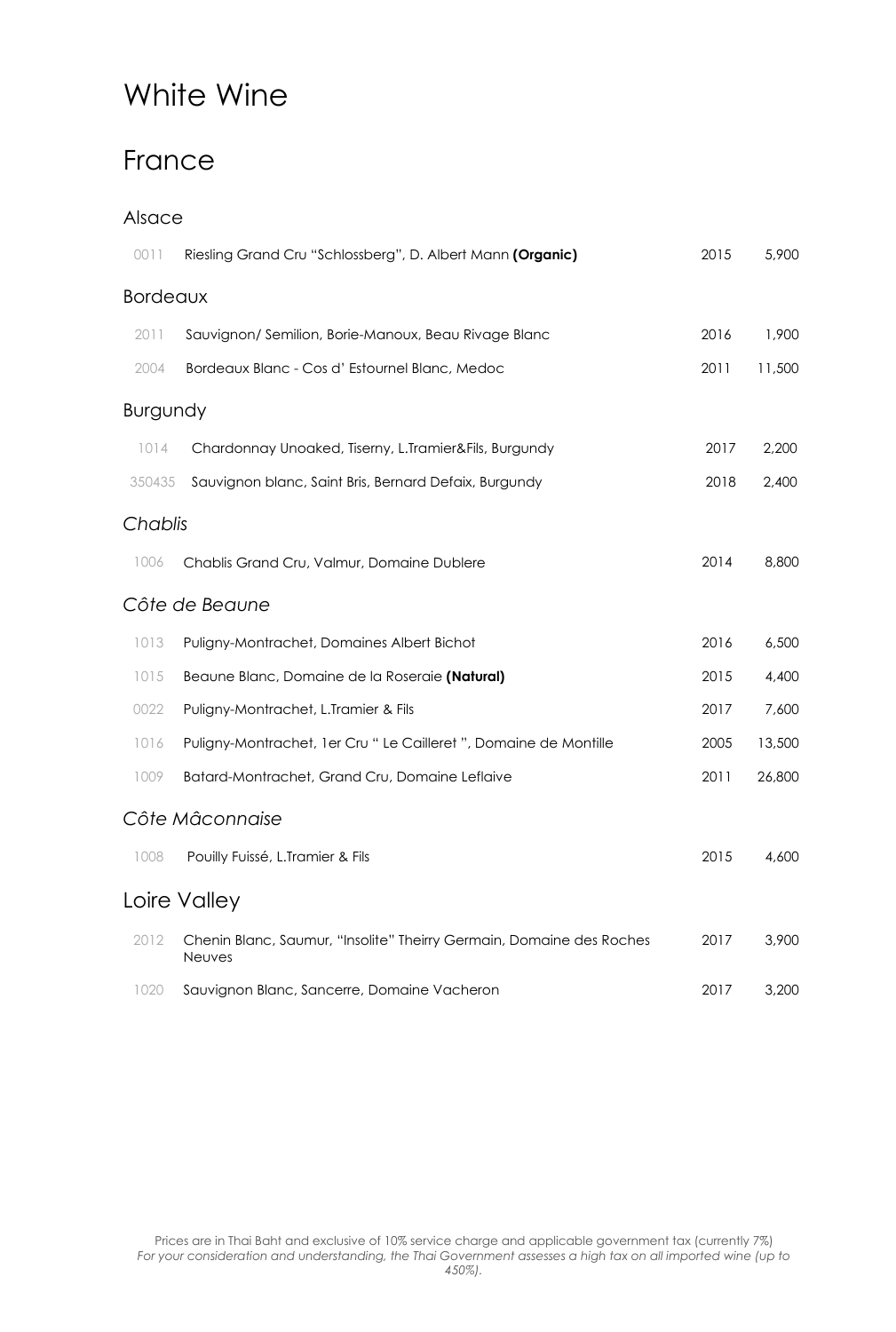# White Wine

### France

#### Alsace

| 0011            | Riesling Grand Cru "Schlossberg", D. Albert Mann (Organic)                            | 2015 | 5,900  |
|-----------------|---------------------------------------------------------------------------------------|------|--------|
| <b>Bordeaux</b> |                                                                                       |      |        |
| 2011            | Sauvignon/Semilion, Borie-Manoux, Beau Rivage Blanc                                   | 2016 | 1,900  |
| 2004            | Bordeaux Blanc - Cos d' Estournel Blanc, Medoc                                        | 2011 | 11,500 |
| Burgundy        |                                                                                       |      |        |
| 1014            | Chardonnay Unoaked, Tiserny, L.Tramier&Fils, Burgundy                                 | 2017 | 2,200  |
| 350435          | Sauvignon blanc, Saint Bris, Bernard Defaix, Burgundy                                 | 2018 | 2,400  |
| Chablis         |                                                                                       |      |        |
| 1006            | Chablis Grand Cru, Valmur, Domaine Dublere                                            | 2014 | 8,800  |
|                 | Côte de Beaune                                                                        |      |        |
| 1013            | Puligny-Montrachet, Domaines Albert Bichot                                            | 2016 | 6,500  |
| 1015            | Beaune Blanc, Domaine de la Roseraie (Natural)                                        | 2015 | 4,400  |
| 0022            | Puligny-Montrachet, L.Tramier & Fils                                                  | 2017 | 7,600  |
| 1016            | Puligny-Montrachet, 1er Cru " Le Cailleret ", Domaine de Montille                     | 2005 | 13,500 |
| 1009            | Batard-Montrachet, Grand Cru, Domaine Leflaive                                        | 2011 | 26,800 |
|                 | Côte Mâconnaise                                                                       |      |        |
| 1008            | Pouilly Fuissé, L.Tramier & Fils                                                      | 2015 | 4,600  |
|                 | Loire Valley                                                                          |      |        |
| 2012            | Chenin Blanc, Saumur, "Insolite" Theirry Germain, Domaine des Roches<br><b>Neuves</b> | 2017 | 3,900  |
| 1020            | Sauvignon Blanc, Sancerre, Domaine Vacheron                                           | 2017 | 3,200  |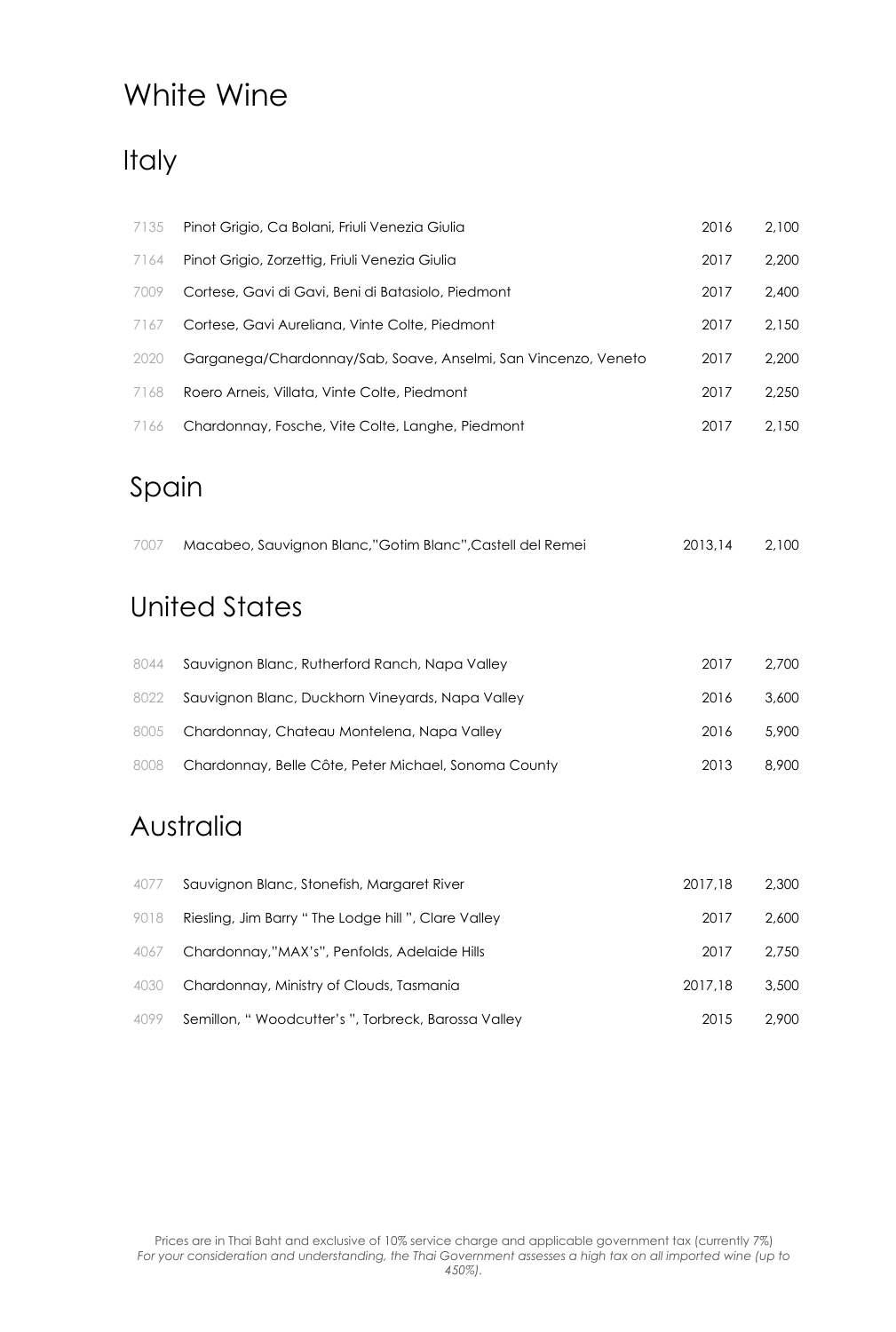## White Wine

## Italy

| 7135 | Pinot Grigio, Ca Bolani, Friuli Venezia Giulia                 | 2016 | 2,100 |
|------|----------------------------------------------------------------|------|-------|
| 7164 | Pinot Grigio, Zorzettig, Friuli Venezia Giulia                 | 2017 | 2,200 |
| 7009 | Cortese, Gavi di Gavi, Beni di Batasiolo, Piedmont             | 2017 | 2,400 |
| 7167 | Cortese, Gavi Aureliana, Vinte Colte, Piedmont                 | 2017 | 2.150 |
| 2020 | Garganega/Chardonnay/Sab, Soave, Anselmi, San Vincenzo, Veneto | 2017 | 2.200 |
| 7168 | Roero Arneis, Villata, Vinte Colte, Piedmont                   | 2017 | 2.250 |
| 7166 | Chardonnay, Fosche, Vite Colte, Langhe, Piedmont               | 2017 | 2.150 |
|      |                                                                |      |       |

### Spain

| 7007 | Macabeo, Sauvignon Blanc,"Gotim Blanc",Castell del Remei | 2013.14 | 2,100 |
|------|----------------------------------------------------------|---------|-------|
|      |                                                          |         |       |

## United States

| 8044 | Sauvignon Blanc, Rutherford Ranch, Napa Valley       | 2017 | 2.700 |
|------|------------------------------------------------------|------|-------|
| 8022 | Sauvignon Blanc, Duckhorn Vineyards, Napa Valley     | 2016 | 3,600 |
|      | 8005 Chardonnay, Chateau Montelena, Napa Valley      | 2016 | 5,900 |
| 8008 | Chardonnay, Belle Côte, Peter Michael, Sonoma County | 2013 | 8.900 |

### Australia

| 4077 | Sauvignon Blanc, Stonefish, Margaret River          | 2017.18 | 2,300 |
|------|-----------------------------------------------------|---------|-------|
| 9018 | Riesling, Jim Barry "The Lodge hill ", Clare Valley | 2017    | 2.600 |
| 4067 | Chardonnay,"MAX's", Penfolds, Adelaide Hills        | 2017    | 2.750 |
| 4030 | Chardonnay, Ministry of Clouds, Tasmania            | 2017.18 | 3,500 |
| 4099 | Semillon, "Woodcutter's ", Torbreck, Barossa Valley | 2015    | 2,900 |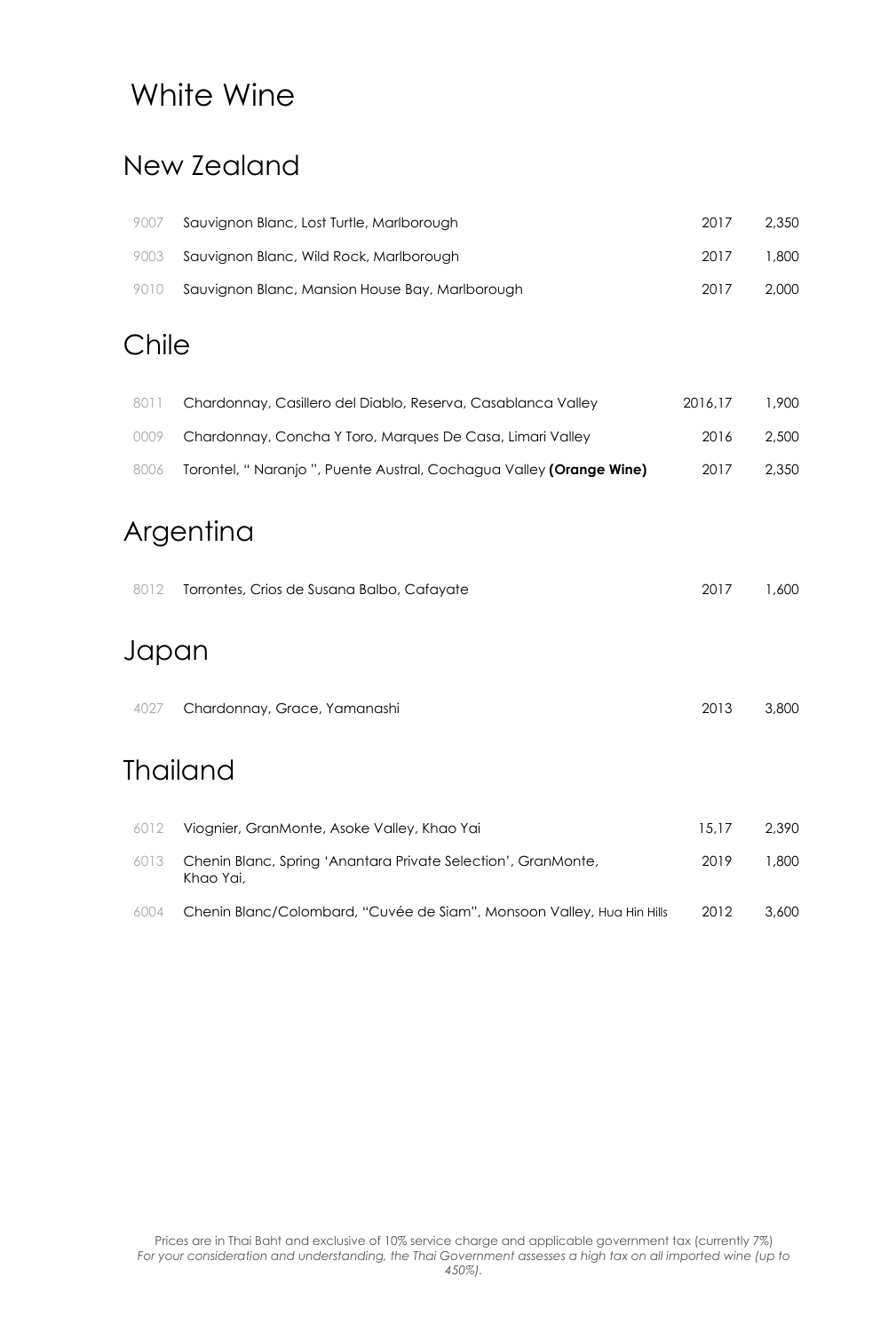### White Wine

### New Zealand

| 9007 | Sauvignon Blanc, Lost Turtle, Marlborough            | 2017 | 2.350  |
|------|------------------------------------------------------|------|--------|
|      | 9003 Sauvignon Blanc, Wild Rock, Marlborough         | 2017 | .800 ا |
|      | 9010 Sauvignon Blanc, Mansion House Bay, Marlborough | 2017 | 2.000  |

### Chile

| 8011 | Chardonnay, Casillero del Diablo, Reserva, Casablanca Valley        | 2016.17 | 1.900 |
|------|---------------------------------------------------------------------|---------|-------|
| 0009 | Chardonnay, Concha Y Toro, Marques De Casa, Limari Valley           | 2016    | 2,500 |
| 8006 | Torontel, "Naranjo ", Puente Austral, Cochagua Valley (Orange Wine) | 2017    | 2,350 |

# Argentina

| 8012  | Torrontes, Crios de Susana Balbo, Cafayate | 2017 | 1,600 |
|-------|--------------------------------------------|------|-------|
| Japan |                                            |      |       |
| 4027  | Chardonnay, Grace, Yamanashi               | 2013 | 3,800 |
|       | <b>Thailand</b>                            |      |       |

|      | 6012 Viognier, GranMonte, Asoke Valley, Khao Yai                           | 15.17 | 2.390 |
|------|----------------------------------------------------------------------------|-------|-------|
| 6013 | Chenin Blanc, Spring 'Anantara Private Selection', GranMonte,<br>Khao Yai, | 2019  | 1.800 |
| 6004 | Chenin Blanc/Colombard, "Cuvée de Siam", Monsoon Valley, Hua Hin Hills     | 2012  | 3,600 |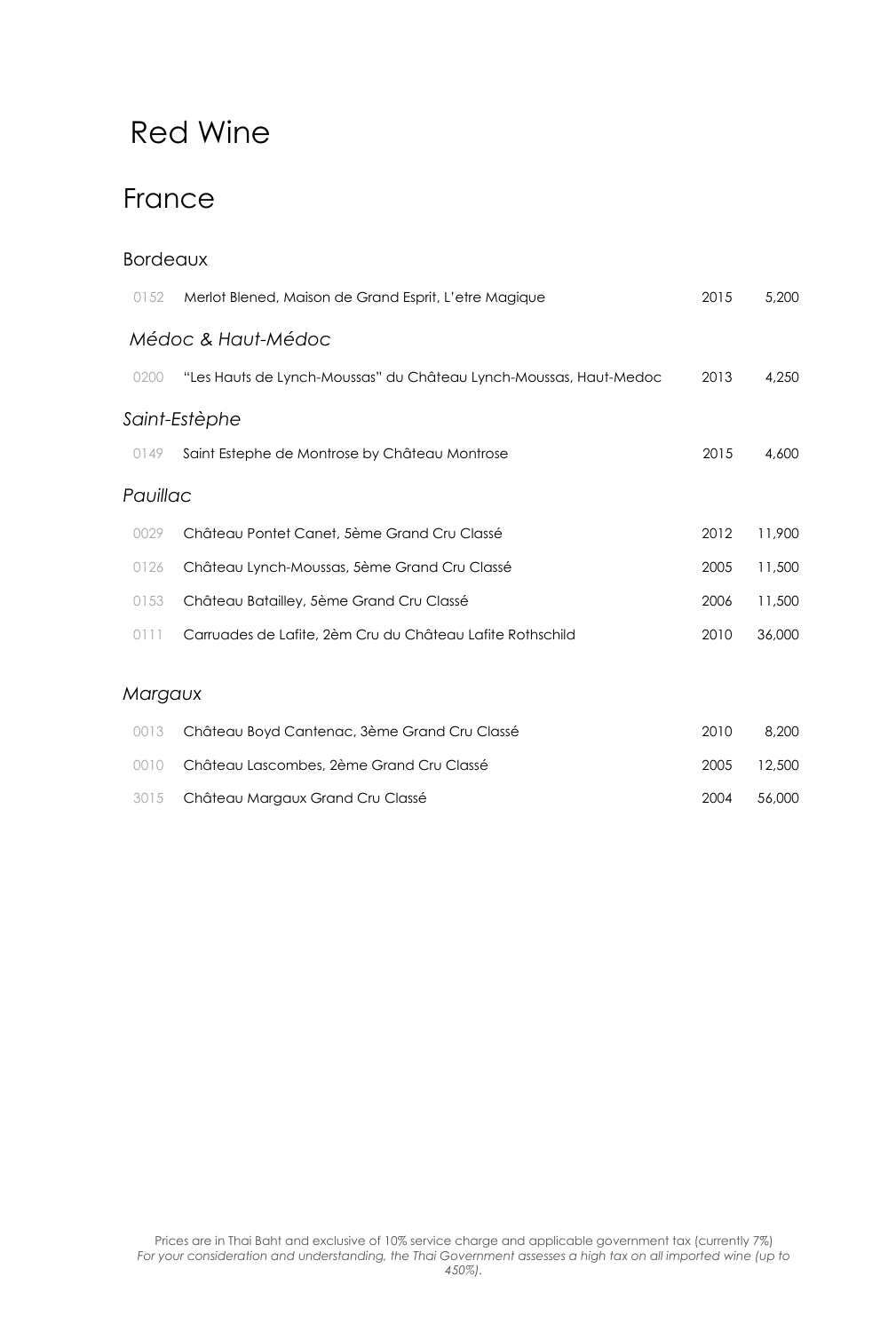### France

| <b>Bordeaux</b> |                                                                   |      |        |
|-----------------|-------------------------------------------------------------------|------|--------|
| 0152            | Merlot Blened, Maison de Grand Esprit, L'etre Magique             | 2015 | 5,200  |
|                 | Médoc & Haut-Médoc                                                |      |        |
| 0200            | "Les Hauts de Lynch-Moussas" du Château Lynch-Moussas, Haut-Medoc | 2013 | 4,250  |
|                 | Saint-Estèphe                                                     |      |        |
| 0149            | Saint Estephe de Montrose by Château Montrose                     | 2015 | 4,600  |
| Pauillac        |                                                                   |      |        |
| 0029            | Château Pontet Canet, 5ème Grand Cru Classé                       | 2012 | 11,900 |
| 0126            | Château Lynch-Moussas, 5ème Grand Cru Classé                      | 2005 | 11,500 |
| 0153            | Château Batailley, 5ème Grand Cru Classé                          | 2006 | 11,500 |
| 0111            | Carruades de Lafite, 2èm Cru du Château Lafite Rothschild         | 2010 | 36,000 |
| Margaux         |                                                                   |      |        |
| 0013            | Château Boyd Cantenac, 3ème Grand Cru Classé                      | 2010 | 8,200  |
| 0010            | Château Lascombes, 2ème Grand Cru Classé                          | 2005 | 12,500 |
| 3015            | Château Margaux Grand Cru Classé                                  | 2004 | 56,000 |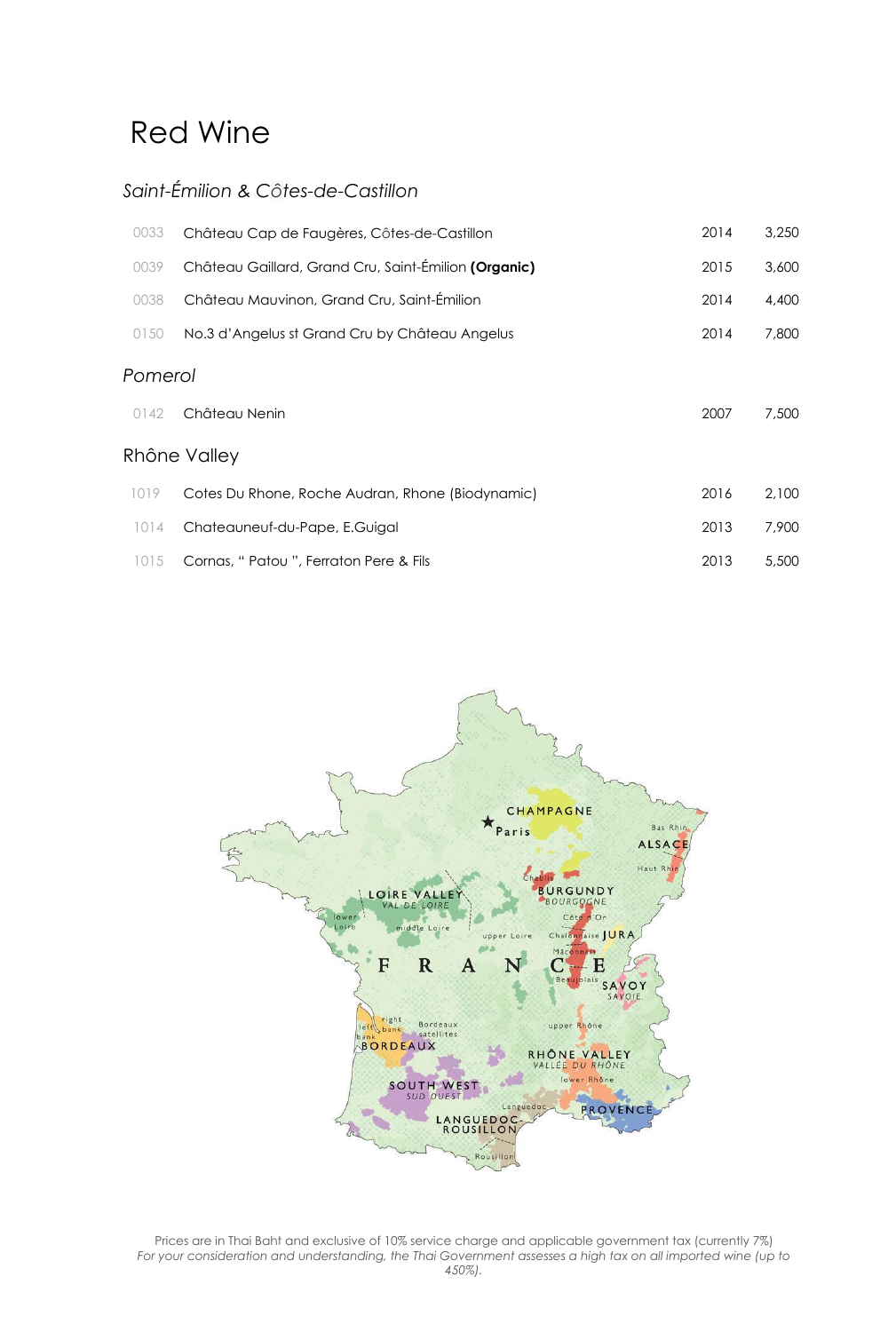### *Saint-Émilion & Côtes-de-Castillon*

| 0033    | Château Cap de Faugères, Côtes-de-Castillon          | 2014 | 3,250 |  |
|---------|------------------------------------------------------|------|-------|--|
| 0039    | Château Gaillard, Grand Cru, Saint-Émilion (Organic) | 2015 | 3,600 |  |
| 0038    | Château Mauvinon, Grand Cru, Saint-Émilion           | 2014 | 4,400 |  |
| 0150    | No.3 d'Angelus st Grand Cru by Château Angelus       | 2014 | 7,800 |  |
| Pomerol |                                                      |      |       |  |
| 0142    | Château Nenin                                        | 2007 | 7,500 |  |
|         | Rhône Valley                                         |      |       |  |
| 1019    | Cotes Du Rhone, Roche Audran, Rhone (Biodynamic)     | 2016 | 2,100 |  |
| 1014    | Chateauneuf-du-Pape, E.Guigal                        | 2013 | 7,900 |  |
| 1015    | Cornas, " Patou ", Ferraton Pere & Fils              | 2013 | 5,500 |  |



Prices are in Thai Baht and exclusive of 10% service charge and applicable government tax (currently 7%) *For your consideration and understanding, the Thai Government assesses a high tax on all imported wine (up to 450%).*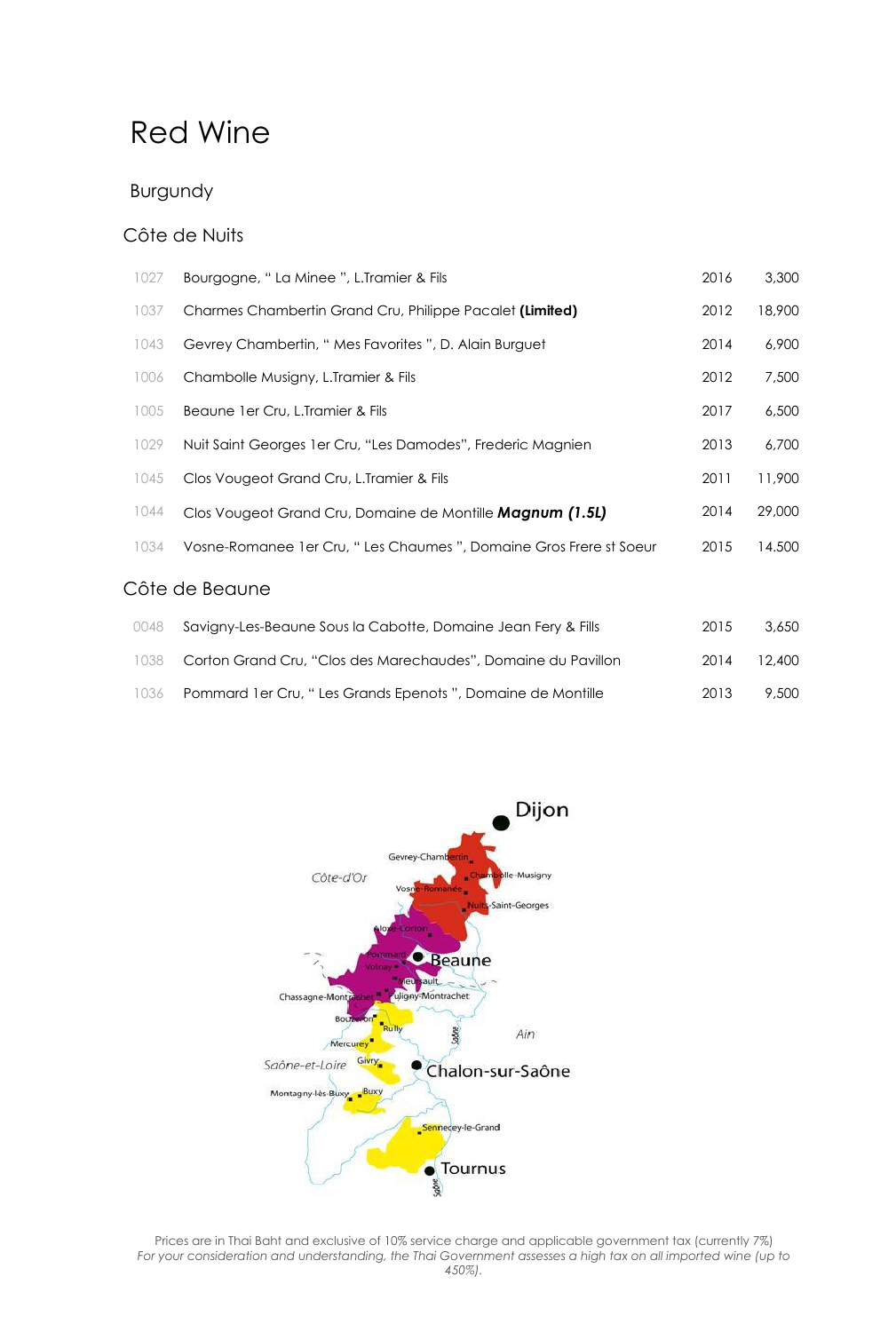#### Burgundy

#### Côte de Nuits

| 1027           | Bourgogne, " La Minee ", L.Tramier & Fils                            | 2016 | 3,300  |  |
|----------------|----------------------------------------------------------------------|------|--------|--|
| 1037           | Charmes Chambertin Grand Cru, Philippe Pacalet (Limited)             | 2012 | 18,900 |  |
| 1043           | Gevrey Chambertin, " Mes Favorites ", D. Alain Burguet               | 2014 | 6,900  |  |
| 1006           | Chambolle Musigny, L.Tramier & Fils                                  | 2012 | 7,500  |  |
| 1005           | Beaune 1 er Cru, L.Tramier & Fils                                    | 2017 | 6,500  |  |
| 1029           | Nuit Saint Georges 1 er Cru, "Les Damodes", Frederic Magnien         | 2013 | 6,700  |  |
| 1045           | Clos Vougeot Grand Cru, L. Tramier & Fils                            | 2011 | 11,900 |  |
| 1044           | Clos Vougeot Grand Cru, Domaine de Montille Magnum (1.5L)            | 2014 | 29,000 |  |
| 1034           | Vosne-Romanee 1 er Cru, " Les Chaumes ", Domaine Gros Frere st Soeur | 2015 | 14.500 |  |
| Côte de Beaune |                                                                      |      |        |  |
| 0048           | Savigny-Les-Beaune Sous la Cabotte, Domaine Jean Fery & Fills        | 2015 | 3,650  |  |

|      | UU48 Savigny-Les-Bedune Sous la Cabotte, Domaine Jean Fery & Fills | 2015. | 3.65U  |
|------|--------------------------------------------------------------------|-------|--------|
|      | 1038 Corton Grand Cru, "Clos des Marechaudes", Domaine du Pavillon | 2014  | 12,400 |
| 1036 | Pommard 1 er Cru, "Les Grands Epenots ", Domaine de Montille       | 2013  | 9.500  |



Prices are in Thai Baht and exclusive of 10% service charge and applicable government tax (currently 7%) *For your consideration and understanding, the Thai Government assesses a high tax on all imported wine (up to 450%).*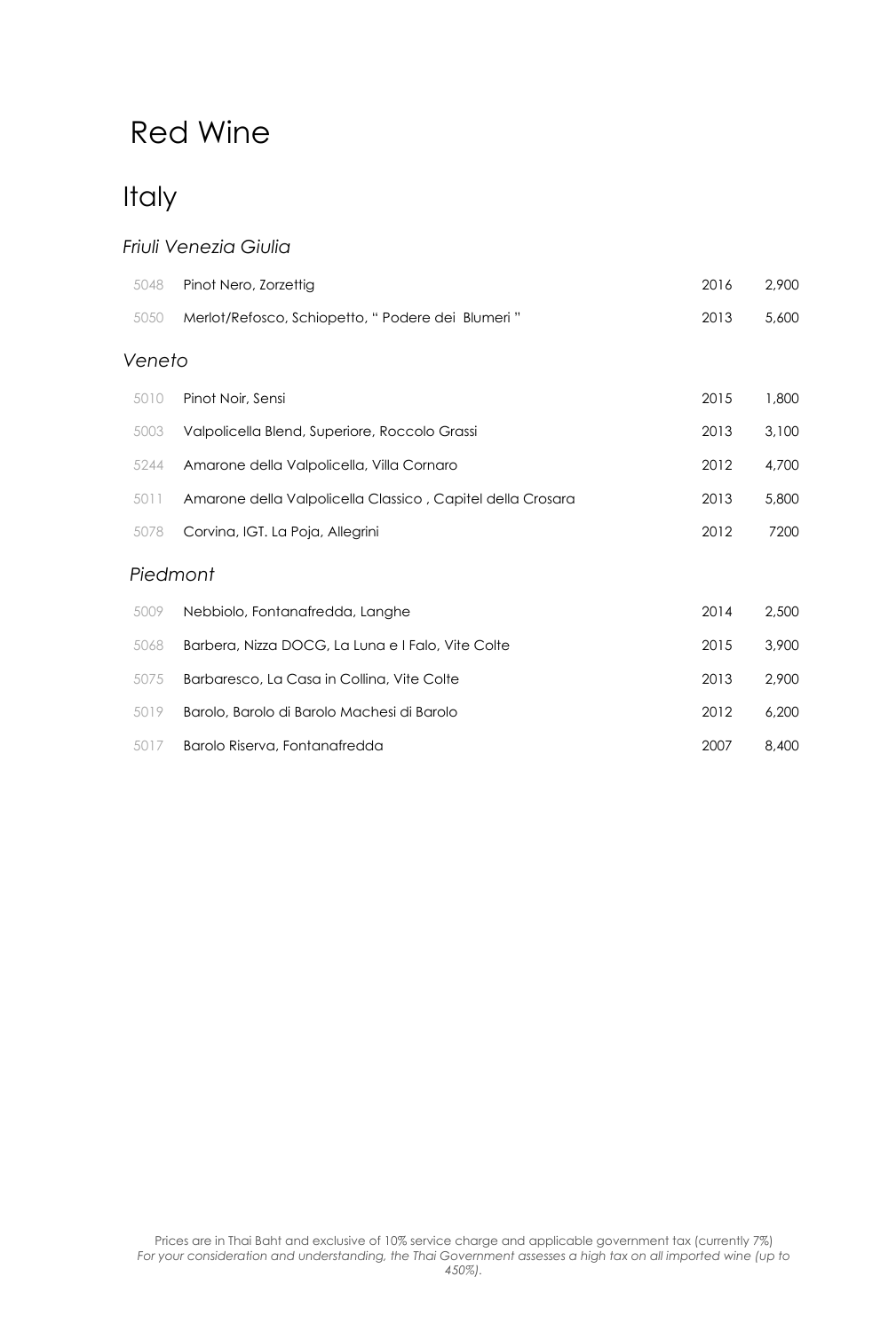### **Italy**

#### *Friuli Venezia Giulia*

| 5048     | Pinot Nero, Zorzettig                                      | 2016 | 2,900 |
|----------|------------------------------------------------------------|------|-------|
| 5050     | Merlot/Refosco, Schiopetto, "Podere dei Blumeri"           | 2013 | 5,600 |
| Veneto   |                                                            |      |       |
| 5010     | Pinot Noir, Sensi                                          | 2015 | 1,800 |
| 5003     | Valpolicella Blend, Superiore, Roccolo Grassi              | 2013 | 3,100 |
| 5244     | Amarone della Valpolicella, Villa Cornaro                  | 2012 | 4,700 |
| 5011     | Amarone della Valpolicella Classico, Capitel della Crosara | 2013 | 5,800 |
| 5078     | Corvina, IGT. La Poja, Allegrini                           | 2012 | 7200  |
| Piedmont |                                                            |      |       |
| 5009     | Nebbiolo, Fontanafredda, Langhe                            | 2014 | 2,500 |
| 5068     | Barbera, Nizza DOCG, La Luna e I Falo, Vite Colte          | 2015 | 3,900 |
| 5075     | Barbaresco, La Casa in Collina, Vite Colte                 | 2013 | 2,900 |
| 5019     | Barolo, Barolo di Barolo Machesi di Barolo                 | 2012 | 6,200 |

5017 Barolo Riserva, Fontanafredda 2007 8,400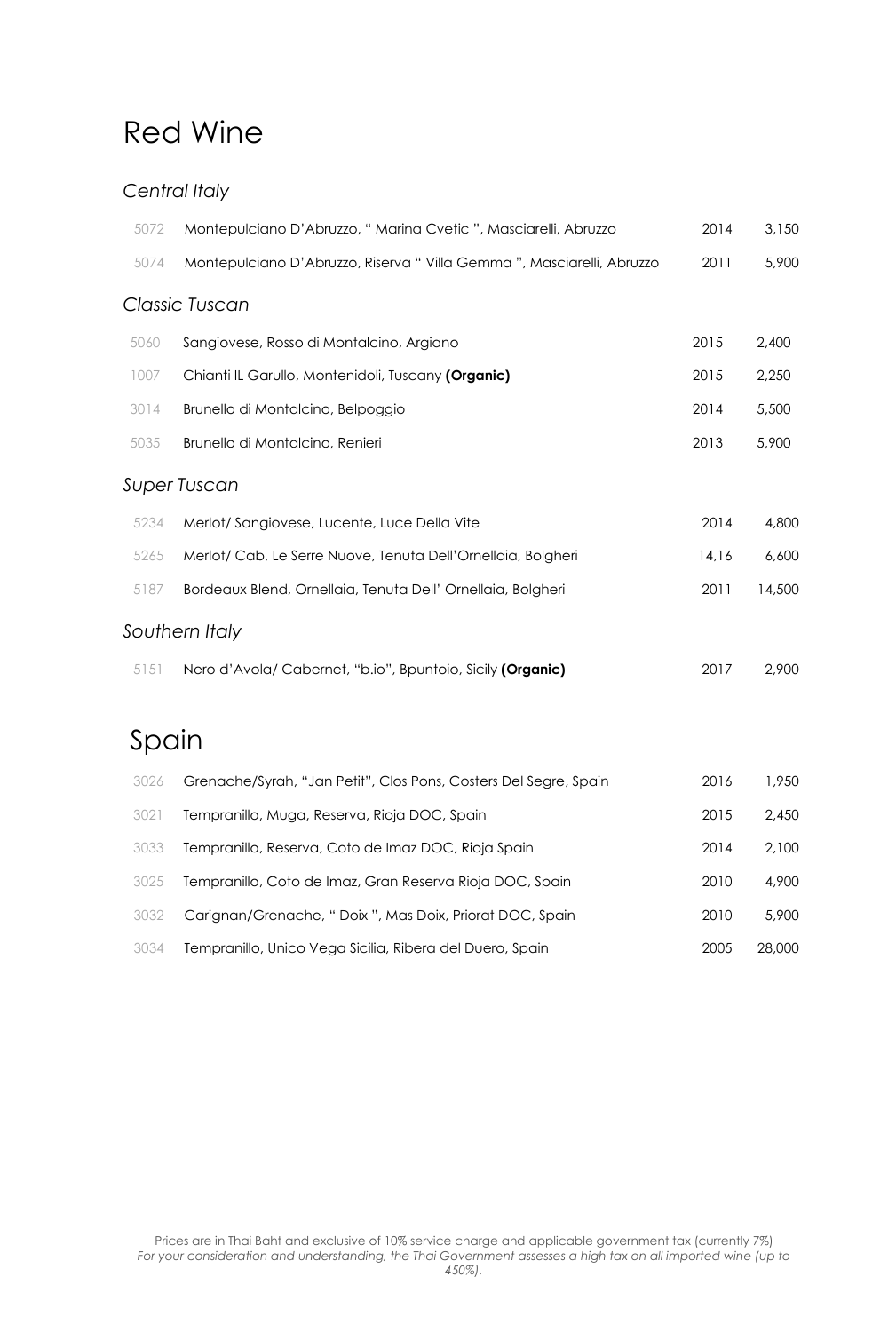#### *Central Italy*

| 5072  | Montepulciano D'Abruzzo, "Marina Cvetic ", Masciarelli, Abruzzo      | 2014  | 3,150  |
|-------|----------------------------------------------------------------------|-------|--------|
| 5074  | Montepulciano D'Abruzzo, Riserva "Villa Gemma", Masciarelli, Abruzzo | 2011  | 5,900  |
|       | Classic Tuscan                                                       |       |        |
| 5060  | Sangiovese, Rosso di Montalcino, Argiano                             | 2015  | 2,400  |
| 1007  | Chianti IL Garullo, Montenidoli, Tuscany (Organic)                   | 2015  | 2,250  |
| 3014  | Brunello di Montalcino, Belpoggio                                    | 2014  | 5,500  |
| 5035  | Brunello di Montalcino, Renieri                                      | 2013  | 5,900  |
|       | Super Tuscan                                                         |       |        |
| 5234  | Merlot/ Sangiovese, Lucente, Luce Della Vite                         | 2014  | 4,800  |
| 5265  | Merlot/ Cab, Le Serre Nuove, Tenuta Dell'Ornellaia, Bolgheri         | 14,16 | 6,600  |
| 5187  | Bordeaux Blend, Ornellaia, Tenuta Dell' Ornellaia, Bolgheri          | 2011  | 14,500 |
|       | Southern Italy                                                       |       |        |
| 5151  | Nero d'Avola/Cabernet, "b.io", Bpuntoio, Sicily (Organic)            | 2017  | 2,900  |
|       |                                                                      |       |        |
| Spain |                                                                      |       |        |
| 3026  | Grenache/Syrah, "Jan Petit", Clos Pons, Costers Del Segre, Spain     | 2016  | 1,950  |
| 3021  | Tempranillo, Muga, Reserva, Rioja DOC, Spain                         | 2015  | 2,450  |
| 3033  | Tempranillo, Reserva, Coto de Imaz DOC, Rioja Spain                  | 2014  | 2,100  |
| 3025  | Tempranillo, Coto de Imaz, Gran Reserva Rioja DOC, Spain             | 2010  | 4,900  |
| 3032  | Carignan/Grenache, "Doix ", Mas Doix, Priorat DOC, Spain             | 2010  | 5,900  |

Tempranillo, Unico Vega Sicilia, Ribera del Duero, Spain 2005 28,000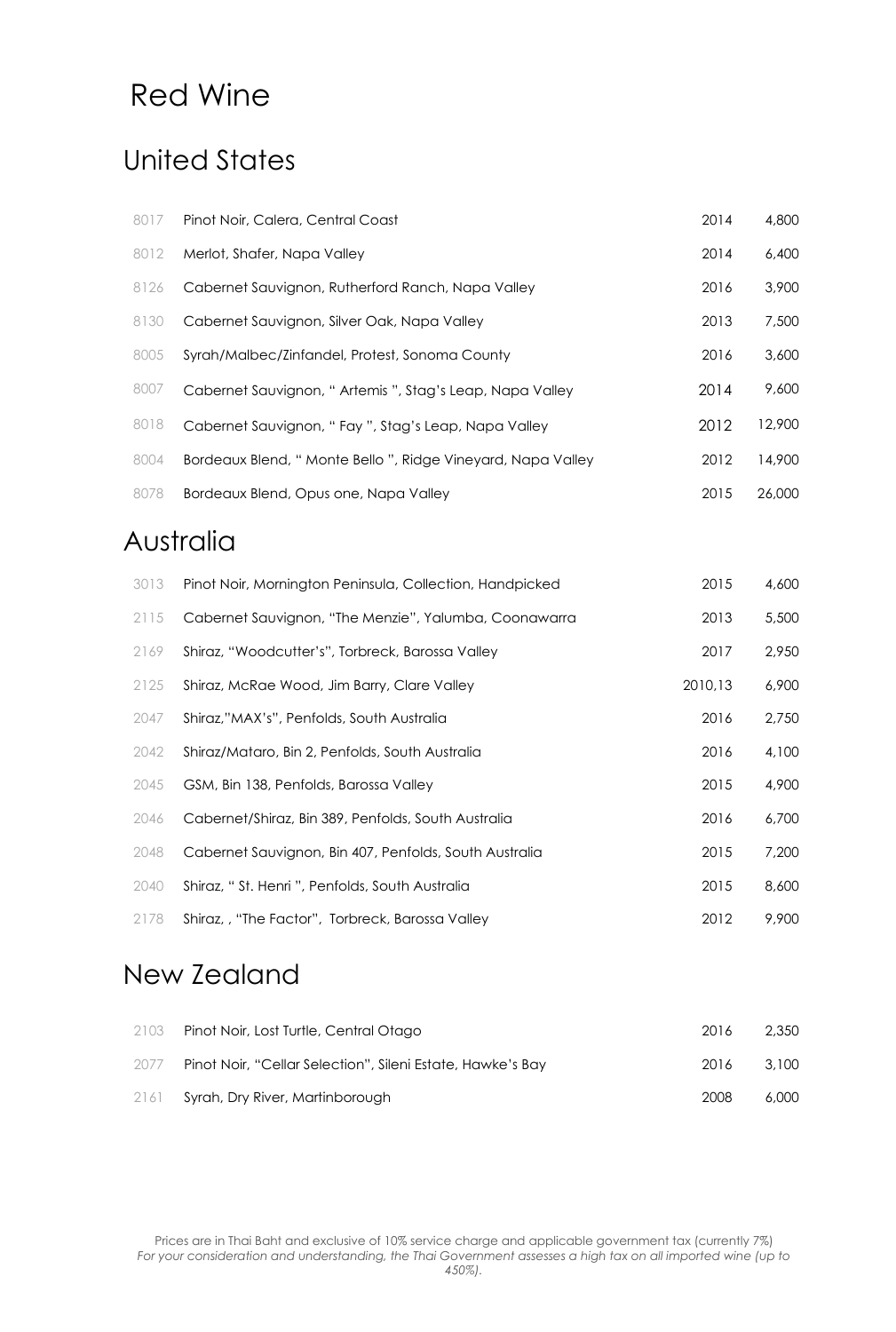### United States

| 8017 | Pinot Noir, Calera, Central Coast                           | 2014 | 4,800  |
|------|-------------------------------------------------------------|------|--------|
| 8012 | Merlot, Shafer, Napa Valley                                 | 2014 | 6,400  |
| 8126 | Cabernet Sauvignon, Rutherford Ranch, Napa Valley           | 2016 | 3,900  |
| 8130 | Cabernet Sauvignon, Silver Oak, Napa Valley                 | 2013 | 7,500  |
| 8005 | Syrah/Malbec/Zinfandel, Protest, Sonoma County              | 2016 | 3,600  |
| 8007 | Cabernet Sauvignon, "Artemis ", Stag's Leap, Napa Valley    | 2014 | 9,600  |
| 8018 | Cabernet Sauvignon, "Fay ", Stag's Leap, Napa Valley        | 2012 | 12,900 |
| 8004 | Bordeaux Blend, "Monte Bello ", Ridge Vineyard, Napa Valley | 2012 | 14,900 |
| 8078 | Bordeaux Blend, Opus one, Napa Valley                       | 2015 | 26,000 |
|      |                                                             |      |        |

### Australia

| 3013 | Pinot Noir, Mornington Peninsula, Collection, Handpicked | 2015    | 4,600 |
|------|----------------------------------------------------------|---------|-------|
| 2115 | Cabernet Sauvignon, "The Menzie", Yalumba, Coonawarra    | 2013    | 5,500 |
| 2169 | Shiraz, "Woodcutter's", Torbreck, Barossa Valley         | 2017    | 2,950 |
| 2125 | Shiraz, McRae Wood, Jim Barry, Clare Valley              | 2010,13 | 6,900 |
| 2047 | Shiraz,"MAX's", Penfolds, South Australia                | 2016    | 2,750 |
| 2042 | Shiraz/Mataro, Bin 2, Penfolds, South Australia          | 2016    | 4,100 |
| 2045 | GSM, Bin 138, Penfolds, Barossa Valley                   | 2015    | 4,900 |
| 2046 | Cabernet/Shiraz, Bin 389, Penfolds, South Australia      | 2016    | 6,700 |
| 2048 | Cabernet Sauvignon, Bin 407, Penfolds, South Australia   | 2015    | 7,200 |
| 2040 | Shiraz, "St. Henri ", Penfolds, South Australia          | 2015    | 8,600 |
| 2178 | Shiraz,, "The Factor", Torbreck, Barossa Valley          | 2012    | 9,900 |

### New Zealand

| 2103 | Pinot Noir, Lost Turtle, Central Otago                     | 2016 | 2,350 |
|------|------------------------------------------------------------|------|-------|
| 2077 | Pinot Noir, "Cellar Selection", Sileni Estate, Hawke's Bay | 2016 | 3.100 |
|      | 2161 Syrah, Dry River, Martinborough                       | 2008 | 6,000 |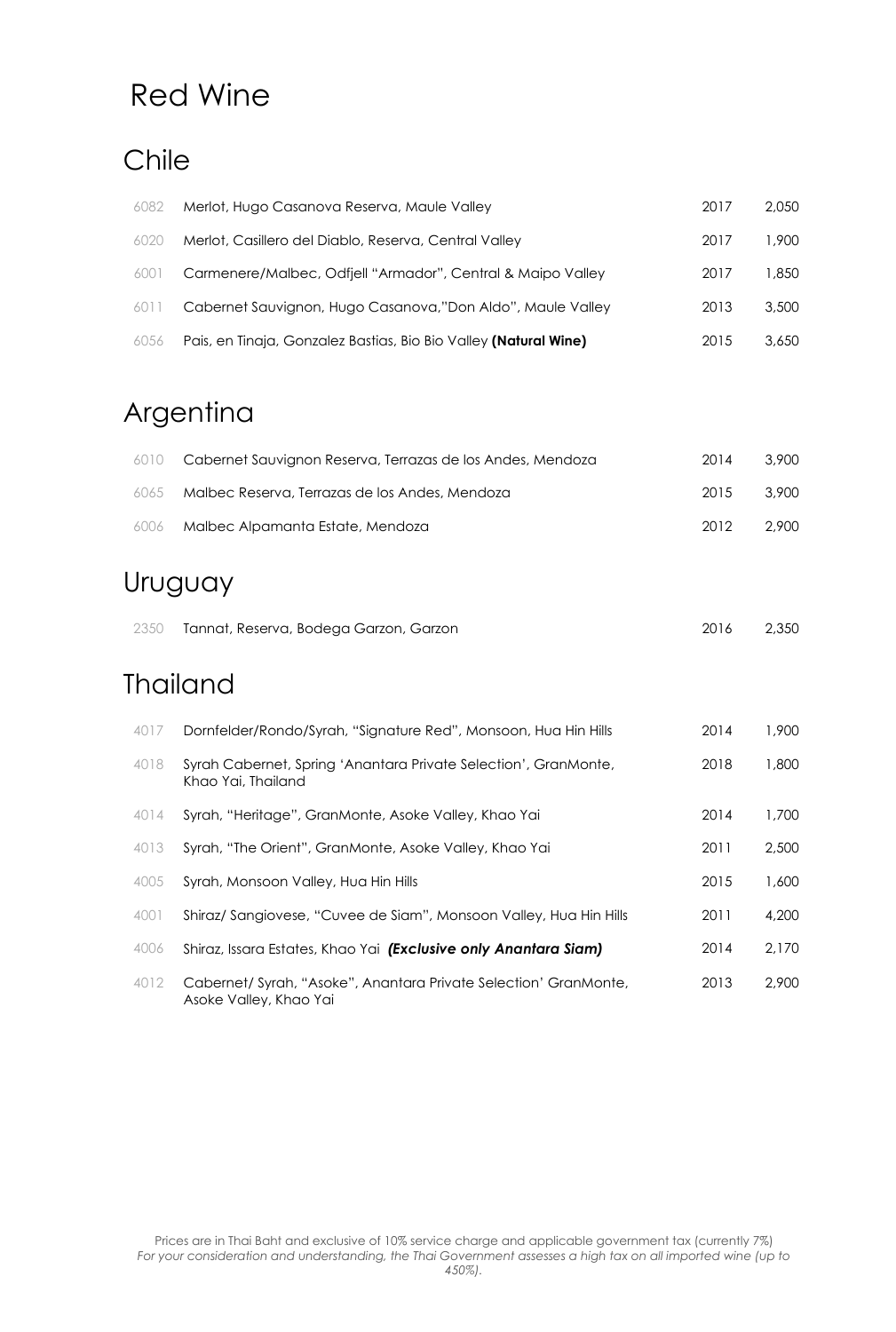### Chile

| 6082 | Merlot, Hugo Casanova Reserva, Maule Valley                      | 2017 | 2.050 |
|------|------------------------------------------------------------------|------|-------|
| 6020 | Merlot, Casillero del Diablo, Reserva, Central Valley            | 2017 | 1,900 |
| 6001 | Carmenere/Malbec, Odfjell "Armador", Central & Maipo Valley      | 2017 | 1,850 |
| 6011 | Cabernet Sauvignon, Hugo Casanova,"Don Aldo", Maule Valley       | 2013 | 3,500 |
| 6056 | Pais, en Tinaja, Gonzalez Bastias, Bio Bio Valley (Natural Wine) | 2015 | 3,650 |

# Argentina

|      | 6010 Cabernet Sauvignon Reserva, Terrazas de los Andes, Mendoza | 2014 | 3.900 |
|------|-----------------------------------------------------------------|------|-------|
| 6065 | Malbec Reserva, Terrazas de los Andes, Mendoza                  | 2015 | 3.900 |
|      | 6006 Malbec Alpamanta Estate, Mendoza                           | 2012 | 2.900 |

### Uruguay

| 2350 Tannat, Reserva, Bodega Garzon, Garzon | 2,350 |
|---------------------------------------------|-------|
|                                             |       |

### **Thailand**

| 4017 | Dornfelder/Rondo/Syrah, "Signature Red", Monsoon, Hua Hin Hills                            | 2014 | 1,900 |
|------|--------------------------------------------------------------------------------------------|------|-------|
| 4018 | Syrah Cabernet, Spring 'Anantara Private Selection', GranMonte,<br>Khao Yai, Thailand      | 2018 | 1,800 |
| 4014 | Syrah, "Heritage", GranMonte, Asoke Valley, Khao Yai                                       | 2014 | 1,700 |
| 4013 | Syrah, "The Orient", GranMonte, Asoke Valley, Khao Yai                                     | 2011 | 2,500 |
| 4005 | Syrah, Monsoon Valley, Hua Hin Hills                                                       | 2015 | 1,600 |
| 4001 | Shiraz/ Sangiovese, "Cuvee de Siam", Monsoon Valley, Hua Hin Hills                         | 2011 | 4,200 |
| 4006 | Shiraz, Issara Estates, Khao Yai (Exclusive only Anantara Siam)                            | 2014 | 2.170 |
| 4012 | Cabernet/ Syrah, "Asoke", Anantara Private Selection' GranMonte,<br>Asoke Valley, Khao Yai | 2013 | 2,900 |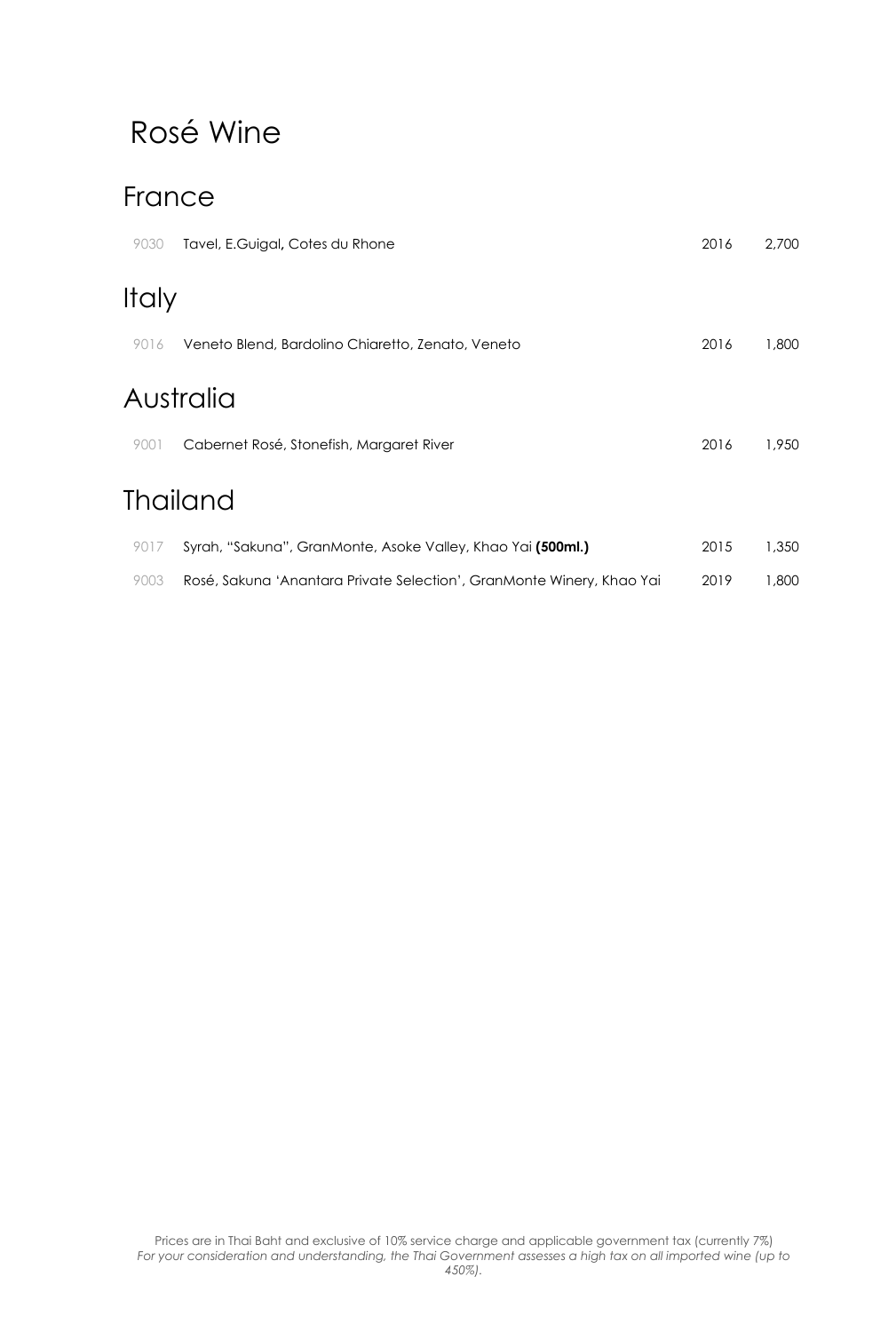# Rosé Wine

### France

| 9030  | Tavel, E.Guigal, Cotes du Rhone                                       | 2016 | 2,700 |
|-------|-----------------------------------------------------------------------|------|-------|
| Italy |                                                                       |      |       |
| 9016  | Veneto Blend, Bardolino Chiaretto, Zenato, Veneto                     | 2016 | 1,800 |
|       | Australia                                                             |      |       |
| 9001  | Cabernet Rosé, Stonefish, Margaret River                              | 2016 | 1,950 |
|       | Thailand                                                              |      |       |
| 9017  | Syrah, "Sakuna", GranMonte, Asoke Valley, Khao Yai (500ml.)           | 2015 | 1,350 |
| 9003  | Rosé, Sakuna 'Anantara Private Selection', GranMonte Winery, Khao Yai | 2019 | 1,800 |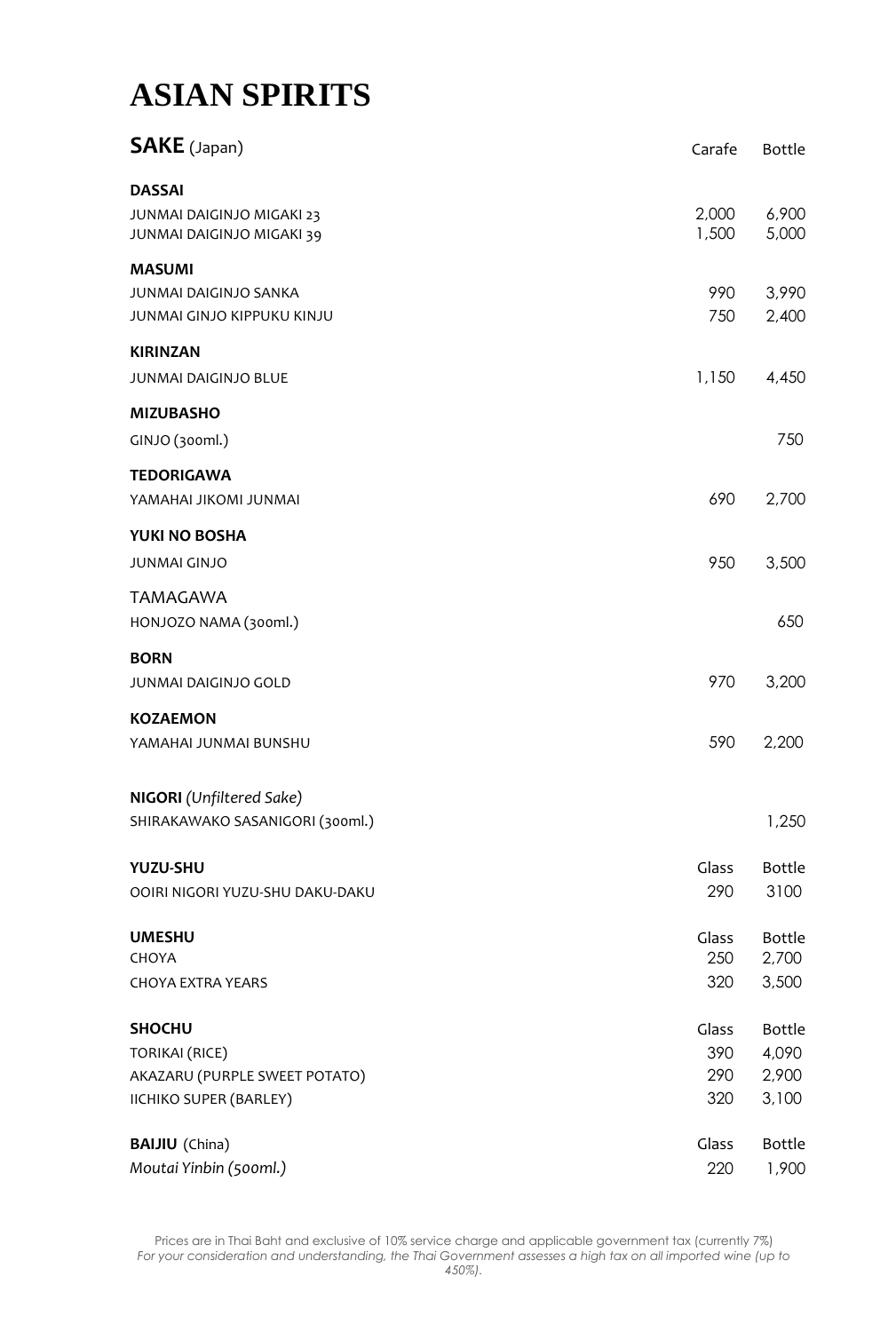# **ASIAN SPIRITS**

| <b>SAKE</b> (Japan)                                    | Carafe         | <b>Bottle</b>  |
|--------------------------------------------------------|----------------|----------------|
| <b>DASSAI</b>                                          |                |                |
| JUNMAI DAIGINJO MIGAKI 23<br>JUNMAI DAIGINJO MIGAKI 39 | 2,000<br>1,500 | 6,900<br>5,000 |
| <b>MASUMI</b>                                          |                |                |
| JUNMAI DAIGINJO SANKA                                  | 990            | 3,990          |
| JUNMAI GINJO KIPPUKU KINJU                             | 750            | 2,400          |
| <b>KIRINZAN</b>                                        |                |                |
| JUNMAI DAIGINJO BLUE                                   | 1,150          | 4,450          |
| <b>MIZUBASHO</b>                                       |                |                |
| GINJO (300ml.)                                         |                | 750            |
| <b>TEDORIGAWA</b>                                      |                |                |
| YAMAHAI JIKOMI JUNMAI                                  | 690            | 2,700          |
| YUKI NO BOSHA                                          |                |                |
| <b>JUNMAI GINJO</b>                                    | 950            | 3,500          |
| <b>TAMAGAWA</b>                                        |                |                |
| HONJOZO NAMA (300ml.)                                  |                | 650            |
| <b>BORN</b>                                            |                |                |
| JUNMAI DAIGINJO GOLD                                   | 970            | 3,200          |
| <b>KOZAEMON</b>                                        |                |                |
| YAMAHAI JUNMAI BUNSHU                                  | 590            | 2,200          |
| <b>NIGORI</b> (Unfiltered Sake)                        |                |                |
| SHIRAKAWAKO SASANIGORI (300ml.)                        |                | 1,250          |
| YUZU-SHU                                               | Glass          | <b>Bottle</b>  |
| OOIRI NIGORI YUZU-SHU DAKU-DAKU                        | 290            | 3100           |
| <b>UMESHU</b>                                          | Glass          | <b>Bottle</b>  |
| CHOYA                                                  | 250            | 2,700          |
| <b>CHOYA EXTRA YEARS</b>                               | 320            | 3,500          |
| <b>SHOCHU</b>                                          | Glass          | <b>Bottle</b>  |
| <b>TORIKAI (RICE)</b>                                  | 390            | 4,090          |
| AKAZARU (PURPLE SWEET POTATO)                          | 290            | 2,900          |
| IICHIKO SUPER (BARLEY)                                 | 320            | 3,100          |
| <b>BAIJIU</b> (China)                                  | Glass          | <b>Bottle</b>  |
| Moutai Yinbin (500ml.)                                 | 220            | 1,900          |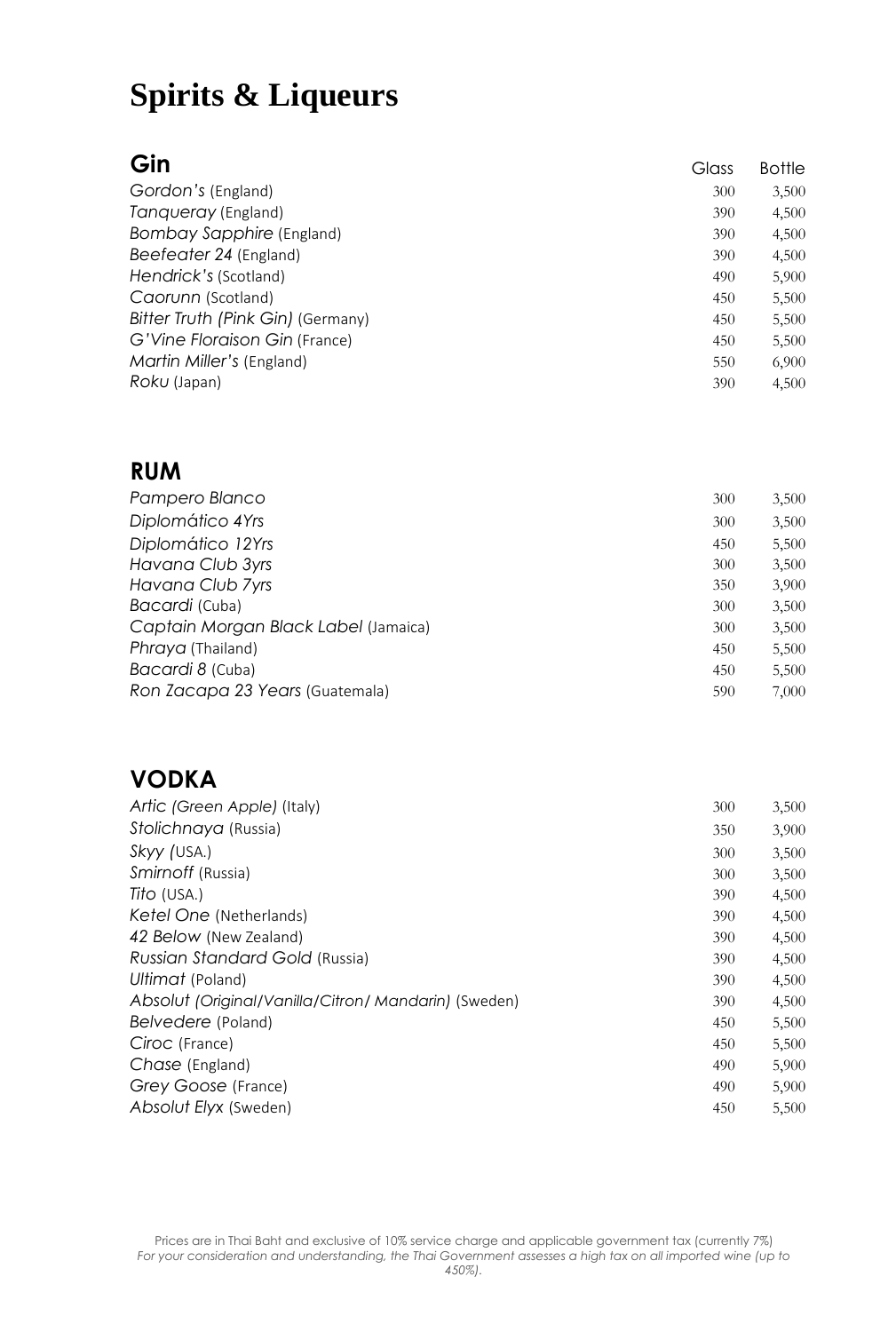| Gin                               | Glass | <b>Bottle</b> |
|-----------------------------------|-------|---------------|
| Gordon's (England)                | 300   | 3,500         |
| Tangueray (England)               | 390   | 4,500         |
| Bombay Sapphire (England)         | 390   | 4,500         |
| Beefeater 24 (England)            | 390   | 4,500         |
| Hendrick's (Scotland)             | 490   | 5,900         |
| Caorunn (Scotland)                | 450   | 5,500         |
| Bitter Truth (Pink Gin) (Germany) | 450   | 5,500         |
| G'Vine Floraison Gin (France)     | 450   | 5,500         |
| Martin Miller's (England)         | 550   | 6,900         |
| Roku (Japan)                      | 390   | 4,500         |

### **RUM**

| 300 | 3,500 |
|-----|-------|
| 300 | 3,500 |
| 450 | 5,500 |
| 300 | 3,500 |
| 350 | 3,900 |
| 300 | 3,500 |
| 300 | 3,500 |
| 450 | 5,500 |
| 450 | 5,500 |
| 590 | 7,000 |
|     |       |

### **VODKA**

| Artic (Green Apple) (Italy)                          | 300 | 3,500 |
|------------------------------------------------------|-----|-------|
| Stolichnaya (Russia)                                 | 350 | 3,900 |
| Skyy (USA.)                                          | 300 | 3,500 |
| Smirnoff (Russia)                                    | 300 | 3,500 |
| Tito (USA.)                                          | 390 | 4,500 |
| Ketel One (Netherlands)                              | 390 | 4,500 |
| 42 Below (New Zealand)                               | 390 | 4,500 |
| Russian Standard Gold (Russia)                       | 390 | 4,500 |
| Ultimat (Poland)                                     | 390 | 4,500 |
| Absolut (Original/Vanilla/Citron/ Mandarin) (Sweden) | 390 | 4,500 |
| Belvedere (Poland)                                   | 450 | 5,500 |
| Ciroc (France)                                       | 450 | 5,500 |
| Chase (England)                                      | 490 | 5,900 |
| Grey Goose (France)                                  | 490 | 5,900 |
| Absolut Elyx (Sweden)                                | 450 | 5,500 |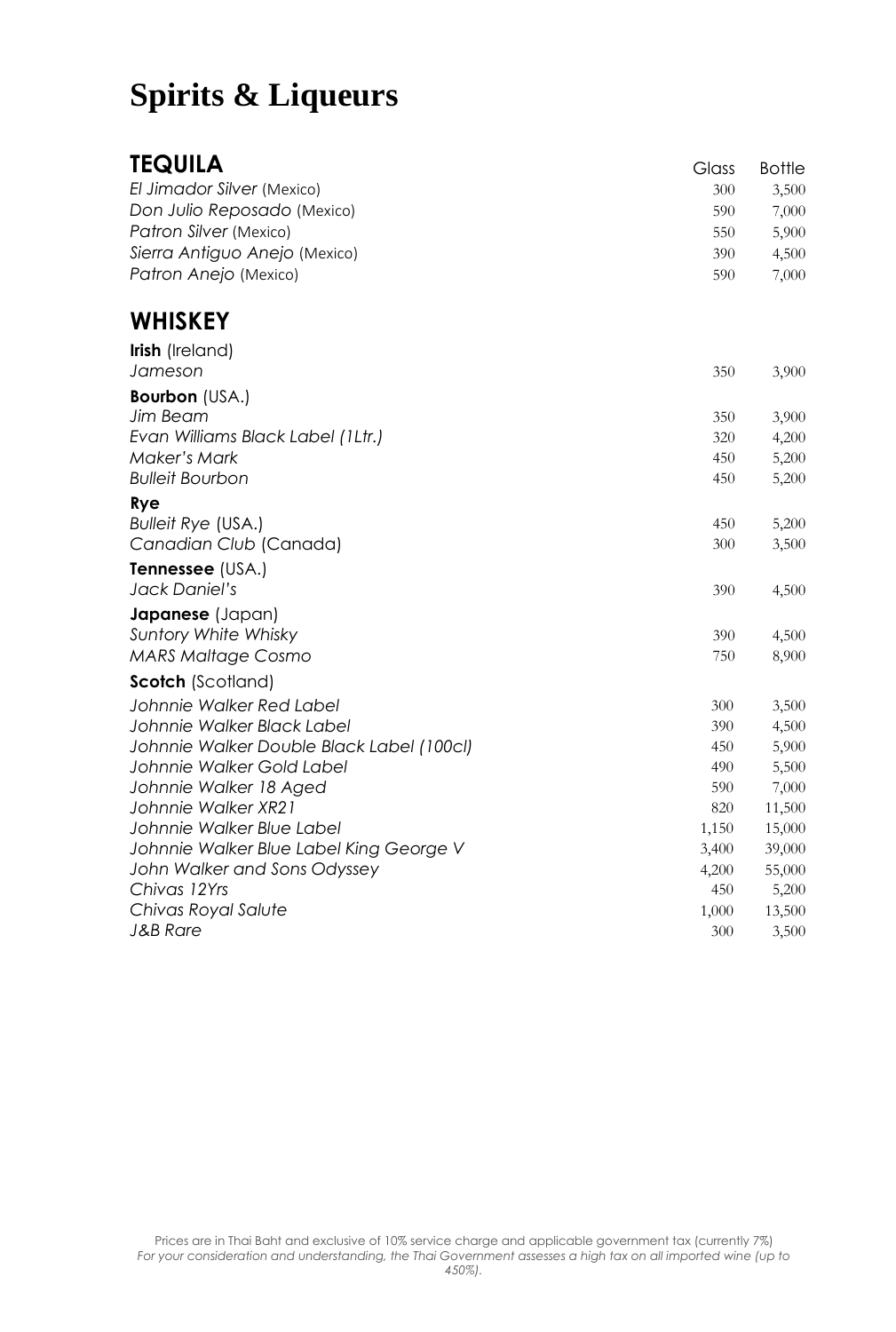### **TEQUILA** Glass Bottle

| .                             | ינטוט | פוווסט |
|-------------------------------|-------|--------|
| El Jimador Silver (Mexico)    | 300   | 3.500  |
| Don Julio Reposado (Mexico)   | 590   | 7.000  |
| Patron Silver (Mexico)        | 550   | 5.900  |
| Sierra Antiguo Anejo (Mexico) | 390   | 4.500  |
| Patron Anejo (Mexico)         | 590   | 7.000  |
|                               |       |        |

### **WHISKEY**

| <b>Irish</b> (Ireland)                    |       |        |
|-------------------------------------------|-------|--------|
| Jameson                                   | 350   | 3,900  |
| <b>Bourbon</b> (USA.)                     |       |        |
| Jim Beam                                  | 350   | 3,900  |
| Evan Williams Black Label (1Ltr.)         | 320   | 4,200  |
| <b>Maker's Mark</b>                       | 450   | 5,200  |
| <b>Bulleit Bourbon</b>                    | 450   | 5,200  |
| <b>Rye</b>                                |       |        |
| <b>Bulleit Rye (USA.)</b>                 | 450   | 5,200  |
| Canadian Club (Canada)                    | 300   | 3,500  |
| Tennessee (USA.)                          |       |        |
| Jack Daniel's                             | 390   | 4,500  |
| Japanese (Japan)                          |       |        |
| Suntory White Whisky                      | 390   | 4,500  |
| <b>MARS Maltage Cosmo</b>                 | 750   | 8,900  |
| <b>Scotch (Scotland)</b>                  |       |        |
| Johnnie Walker Red Label                  | 300   | 3,500  |
| Johnnie Walker Black Label                | 390   | 4,500  |
| Johnnie Walker Double Black Label (100cl) | 450   | 5,900  |
| Johnnie Walker Gold Label                 | 490   | 5,500  |
| Johnnie Walker 18 Aged                    | 590   | 7,000  |
| Johnnie Walker XR21                       | 820   | 11,500 |
| Johnnie Walker Blue Label                 | 1,150 | 15,000 |
| Johnnie Walker Blue Label King George V   | 3,400 | 39,000 |
| John Walker and Sons Odyssey              | 4,200 | 55,000 |
| Chivas 12Yrs                              | 450   | 5,200  |
| Chivas Royal Salute                       | 1,000 | 13,500 |
| <b>J&amp;B Rare</b>                       | 300   | 3,500  |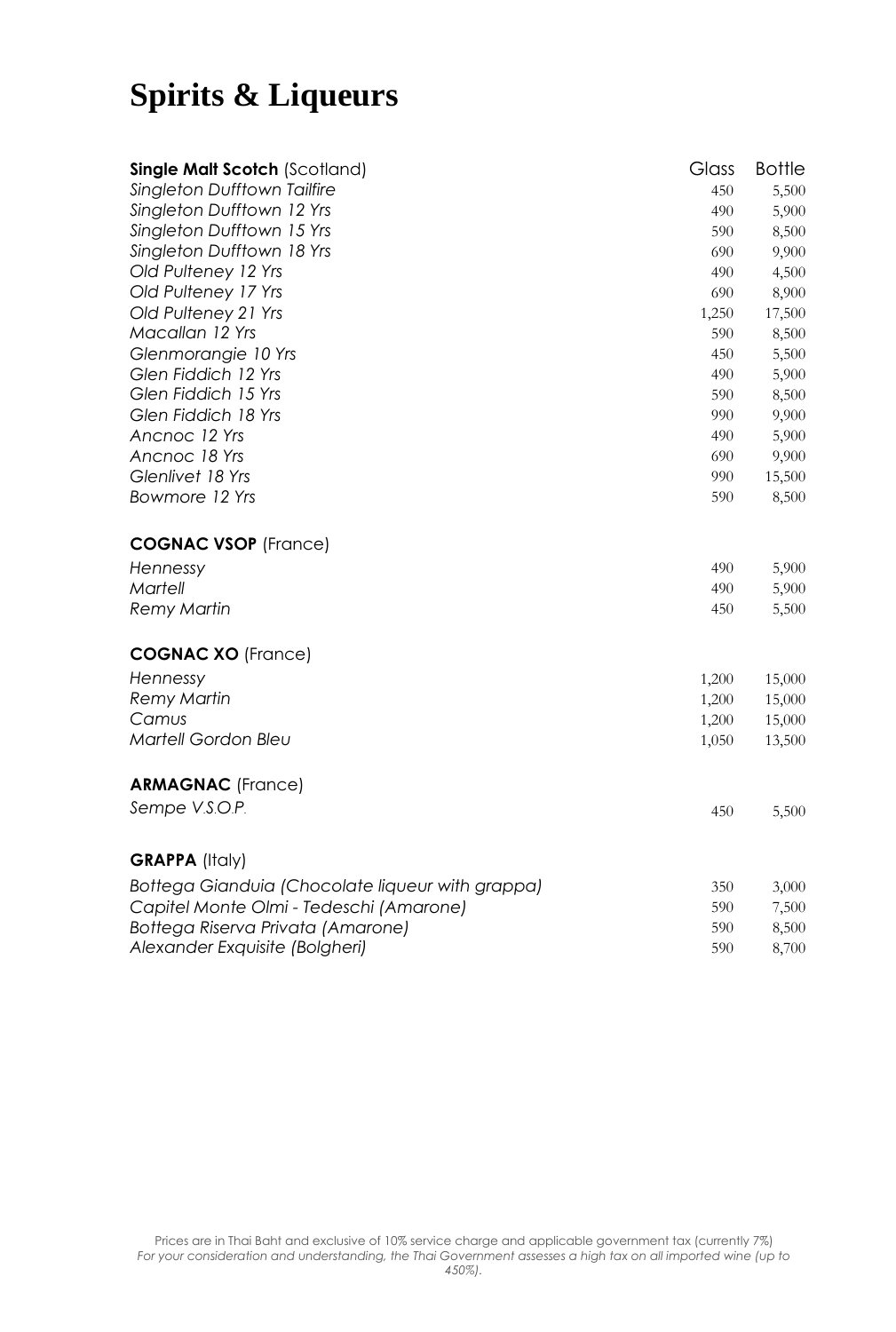| <b>Single Malt Scotch (Scotland)</b>             | Glass | <b>Bottle</b> |
|--------------------------------------------------|-------|---------------|
| <b>Singleton Dufftown Tailfire</b>               | 450   | 5,500         |
| Singleton Dufftown 12 Yrs                        | 490   | 5,900         |
| Singleton Dufftown 15 Yrs                        | 590   | 8,500         |
| Singleton Dufftown 18 Yrs                        | 690   | 9,900         |
| Old Pulteney 12 Yrs                              | 490   | 4,500         |
| Old Pulteney 17 Yrs                              | 690   | 8,900         |
| Old Pulteney 21 Yrs                              | 1,250 | 17,500        |
| Macallan 12 Yrs                                  | 590   | 8,500         |
| Glenmorangie 10 Yrs                              | 450   | 5,500         |
| Glen Fiddich 12 Yrs                              | 490   | 5,900         |
| Glen Fiddich 15 Yrs                              | 590   | 8,500         |
| Glen Fiddich 18 Yrs                              | 990   | 9,900         |
| Ancnoc 12 Yrs                                    | 490   | 5,900         |
| Ancnoc 18 Yrs                                    | 690   | 9,900         |
| Glenlivet 18 Yrs                                 | 990   | 15,500        |
| Bowmore 12 Yrs                                   | 590   | 8,500         |
| <b>COGNAC VSOP</b> (France)                      |       |               |
| Hennessy                                         | 490   | 5,900         |
| Martell                                          | 490   | 5,900         |
| <b>Remy Martin</b>                               | 450   | 5,500         |
| <b>COGNAC XO (France)</b>                        |       |               |
| Hennessy                                         | 1,200 | 15,000        |
| <b>Remy Martin</b>                               | 1,200 | 15,000        |
| Camus                                            | 1,200 | 15,000        |
| Martell Gordon Bleu                              | 1,050 | 13,500        |
| <b>ARMAGNAC</b> (France)                         |       |               |
| Sempe V.S.O.P.                                   | 450   | 5,500         |
| <b>GRAPPA (Italy)</b>                            |       |               |
|                                                  |       |               |
| Bottega Gianduia (Chocolate liqueur with grappa) | 350   | 3,000         |
| Capitel Monte Olmi - Tedeschi (Amarone)          | 590   | 7,500         |
| Bottega Riserva Privata (Amarone)                | 590   | 8,500         |
| Alexander Exquisite (Bolgheri)                   | 590   | 8,700         |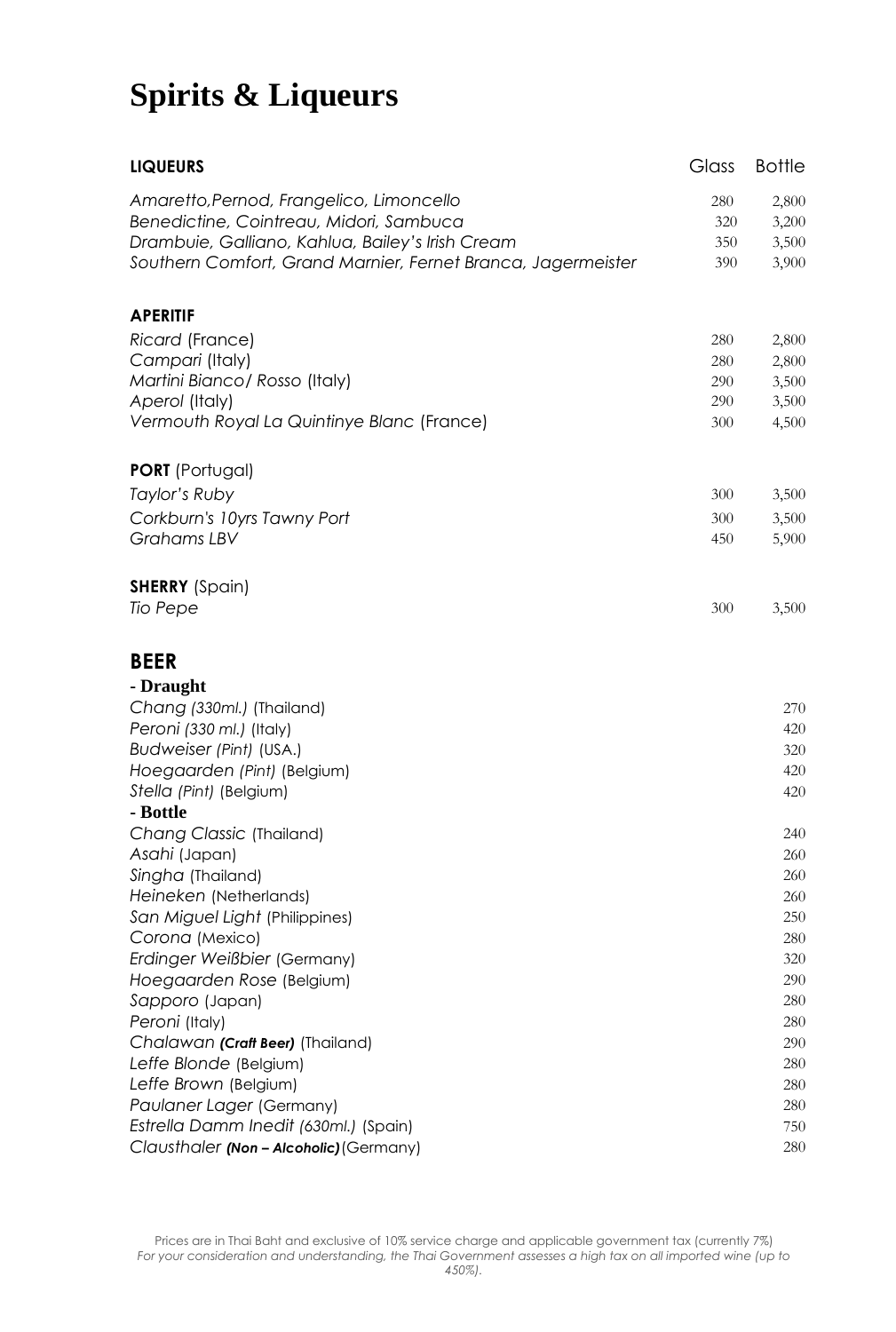| <b>LIQUEURS</b>                                              | Glass | <b>Bottle</b> |
|--------------------------------------------------------------|-------|---------------|
| Amaretto, Pernod, Frangelico, Limoncello                     | 280   | 2,800         |
| Benedictine, Cointreau, Midori, Sambuca                      | 320   | 3,200         |
| Drambuie, Galliano, Kahlua, Bailey's Irish Cream             | 350   | 3,500         |
| Southern Comfort, Grand Marnier, Fernet Branca, Jagermeister | 390   | 3,900         |
| <b>APERITIF</b>                                              |       |               |
| Ricard (France)                                              | 280   | 2,800         |
| Campari (Italy)                                              | 280   | 2,800         |
| Martini Bianco/ Rosso (Italy)                                | 290   | 3,500         |
| Aperol (Italy)                                               | 290   | 3,500         |
| Vermouth Royal La Quintinye Blanc (France)                   | 300   | 4,500         |
| <b>PORT</b> (Portugal)                                       |       |               |
| Taylor's Ruby                                                | 300   | 3,500         |
| Corkburn's 10yrs Tawny Port                                  | 300   | 3,500         |
| Grahams LBV                                                  | 450   | 5,900         |
| <b>SHERRY</b> (Spain)                                        |       |               |
| Tio Pepe                                                     | 300   | 3,500         |
| <b>BEER</b>                                                  |       |               |
| - Draught                                                    |       |               |
| Chang (330ml.) (Thailand)                                    |       | 270           |
| Peroni (330 ml.) (Italy)                                     |       | 420           |
| Budweiser (Pint) (USA.)                                      |       | 320           |
| Hoegaarden (Pint) (Belgium)                                  |       | 420           |
| Stella (Pint) (Belgium)                                      |       | 420           |
| - Bottle                                                     |       |               |
| Chang Classic (Thailand)                                     |       | 240           |
| Asahi (Japan)                                                |       | 260           |
| Singha (Thailand)                                            |       | 260           |
| Heineken (Netherlands)                                       |       | 260           |
| San Miguel Light (Philippines)                               |       | 250           |
| Corona (Mexico)                                              |       | 280           |
| Erdinger Weißbier (Germany)                                  |       | 320           |
| Hoegaarden Rose (Belgium)<br>Sapporo (Japan)                 |       | 290<br>280    |
| Peroni (Italy)                                               |       | 280           |
| Chalawan (Craft Beer) (Thailand)                             |       | 290           |
| Leffe Blonde (Belgium)                                       |       | 280           |
| Leffe Brown (Belgium)                                        |       | 280           |
| Paulaner Lager (Germany)                                     |       | 280           |
| Estrella Damm Inedit (630ml.) (Spain)                        |       | 750           |
| Clausthaler (Non - Alcoholic) (Germany)                      |       | 280           |